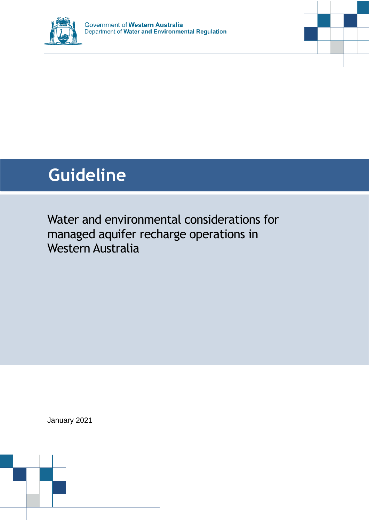

# **Guideline**

Water and environmental considerations for managed aquifer recharge operations in Western Australia

January 2021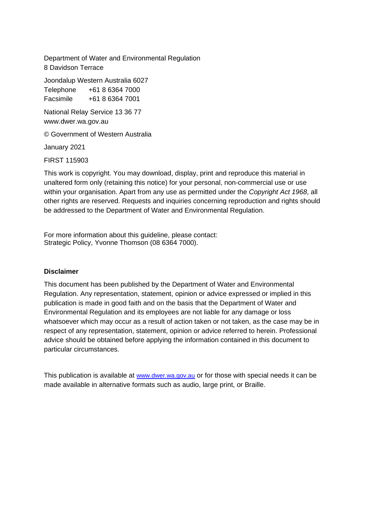Department of Water and Environmental Regulation 8 Davidson Terrace

Joondalup Western Australia 6027 Telephone +61 8 6364 7000

Facsimile +61 8 6364 7001

National Relay Service 13 36 77 www.dwer.wa.gov.au

© Government of Western Australia

January 2021

FIRST 115903

This work is copyright. You may download, display, print and reproduce this material in unaltered form only (retaining this notice) for your personal, non-commercial use or use within your organisation. Apart from any use as permitted under the *Copyright Act 1968*, all other rights are reserved. Requests and inquiries concerning reproduction and rights should be addressed to the Department of Water and Environmental Regulation.

For more information about this guideline, please contact: Strategic Policy, Yvonne Thomson (08 6364 7000).

#### **Disclaimer**

This document has been published by the Department of Water and Environmental Regulation. Any representation, statement, opinion or advice expressed or implied in this publication is made in good faith and on the basis that the Department of Water and Environmental Regulation and its employees are not liable for any damage or loss whatsoever which may occur as a result of action taken or not taken, as the case may be in respect of any representation, statement, opinion or advice referred to herein. Professional advice should be obtained before applying the information contained in this document to particular circumstances.

This publication is available at [www.dwer.wa.gov.au](http://www.dwer.wa.gov.au/) or for those with special needs it can be made available in alternative formats such as audio, large print, or Braille.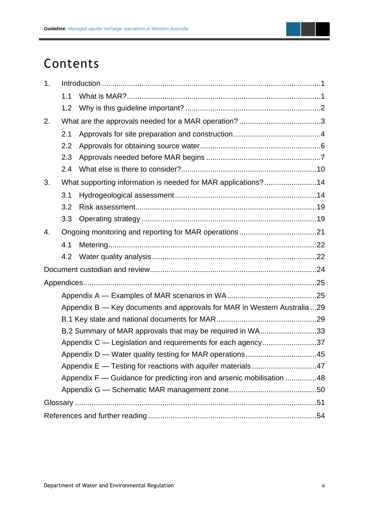### Contents

| 1.                                                        |                                                                          |                                                               |  |  |
|-----------------------------------------------------------|--------------------------------------------------------------------------|---------------------------------------------------------------|--|--|
|                                                           | 1.1                                                                      |                                                               |  |  |
|                                                           | 1.2                                                                      |                                                               |  |  |
| 2.                                                        |                                                                          |                                                               |  |  |
|                                                           | 2.1                                                                      |                                                               |  |  |
|                                                           | 2.2                                                                      |                                                               |  |  |
|                                                           | 2.3                                                                      |                                                               |  |  |
|                                                           | 2.4                                                                      |                                                               |  |  |
| 3.                                                        |                                                                          | What supporting information is needed for MAR applications?14 |  |  |
|                                                           | 3.1                                                                      |                                                               |  |  |
|                                                           | 3.2                                                                      |                                                               |  |  |
|                                                           | 3.3                                                                      |                                                               |  |  |
| 4.                                                        |                                                                          |                                                               |  |  |
|                                                           | 4.1                                                                      |                                                               |  |  |
|                                                           | 4.2                                                                      |                                                               |  |  |
|                                                           |                                                                          |                                                               |  |  |
|                                                           |                                                                          |                                                               |  |  |
|                                                           |                                                                          |                                                               |  |  |
|                                                           | Appendix B - Key documents and approvals for MAR in Western Australia 29 |                                                               |  |  |
|                                                           |                                                                          |                                                               |  |  |
| B.2 Summary of MAR approvals that may be required in WA33 |                                                                          |                                                               |  |  |
|                                                           | Appendix C — Legislation and requirements for each agency37              |                                                               |  |  |
|                                                           |                                                                          | Appendix D — Water quality testing for MAR operations45       |  |  |
|                                                           |                                                                          |                                                               |  |  |
|                                                           | Appendix F — Guidance for predicting iron and arsenic mobilisation 48    |                                                               |  |  |
|                                                           |                                                                          |                                                               |  |  |
|                                                           |                                                                          |                                                               |  |  |
|                                                           |                                                                          |                                                               |  |  |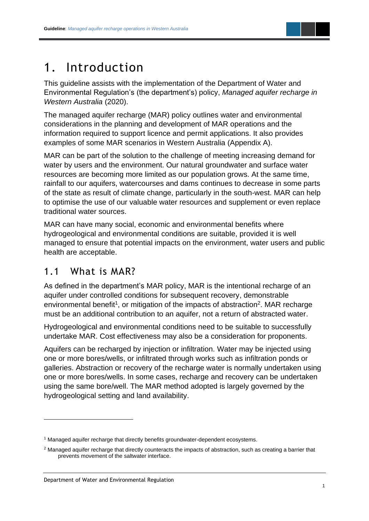

### <span id="page-3-0"></span>1. Introduction

This guideline assists with the implementation of the Department of Water and Environmental Regulation's (the department's) policy, *Managed aquifer recharge in Western Australia* (2020).

The managed aquifer recharge (MAR) policy outlines water and environmental considerations in the planning and development of MAR operations and the information required to support licence and permit applications. It also provides examples of some MAR scenarios in Western Australia (Appendix A).

MAR can be part of the solution to the challenge of meeting increasing demand for water by users and the environment. Our natural groundwater and surface water resources are becoming more limited as our population grows. At the same time, rainfall to our aquifers, watercourses and dams continues to decrease in some parts of the state as result of climate change, particularly in the south-west. MAR can help to optimise the use of our valuable water resources and supplement or even replace traditional water sources.

MAR can have many social, economic and environmental benefits where hydrogeological and environmental conditions are suitable, provided it is well managed to ensure that potential impacts on the environment, water users and public health are acceptable.

### <span id="page-3-1"></span>1.1 What is MAR?

As defined in the department's MAR policy, MAR is the intentional recharge of an aquifer under controlled conditions for subsequent recovery, demonstrable environmental benefit<sup>1</sup>, or mitigation of the impacts of abstraction<sup>2</sup>. MAR recharge must be an additional contribution to an aquifer, not a return of abstracted water.

Hydrogeological and environmental conditions need to be suitable to successfully undertake MAR. Cost effectiveness may also be a consideration for proponents.

Aquifers can be recharged by injection or infiltration. Water may be injected using one or more bores/wells, or infiltrated through works such as infiltration ponds or galleries. Abstraction or recovery of the recharge water is normally undertaken using one or more bores/wells. In some cases, recharge and recovery can be undertaken using the same bore/well. The MAR method adopted is largely governed by the hydrogeological setting and land availability.

<sup>&</sup>lt;sup>1</sup> Managed aquifer recharge that directly benefits groundwater-dependent ecosystems.

<sup>&</sup>lt;sup>2</sup> Managed aquifer recharge that directly counteracts the impacts of abstraction, such as creating a barrier that prevents movement of the saltwater interface.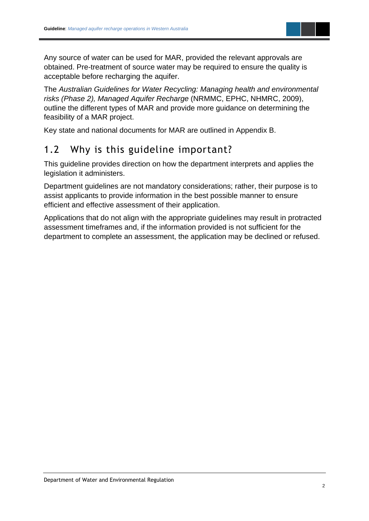

Any source of water can be used for MAR, provided the relevant approvals are obtained. Pre-treatment of source water may be required to ensure the quality is acceptable before recharging the aquifer.

The *Australian Guidelines for Water Recycling: Managing health and environmental risks (Phase 2), Managed Aquifer Recharge* (NRMMC, EPHC, NHMRC, 2009), outline the different types of MAR and provide more guidance on determining the feasibility of a MAR project.

Key state and national documents for MAR are outlined in Appendix B.

### <span id="page-4-0"></span>1.2 Why is this guideline important?

This guideline provides direction on how the department interprets and applies the legislation it administers.

Department guidelines are not mandatory considerations; rather, their purpose is to assist applicants to provide information in the best possible manner to ensure efficient and effective assessment of their application.

Applications that do not align with the appropriate guidelines may result in protracted assessment timeframes and, if the information provided is not sufficient for the department to complete an assessment, the application may be declined or refused.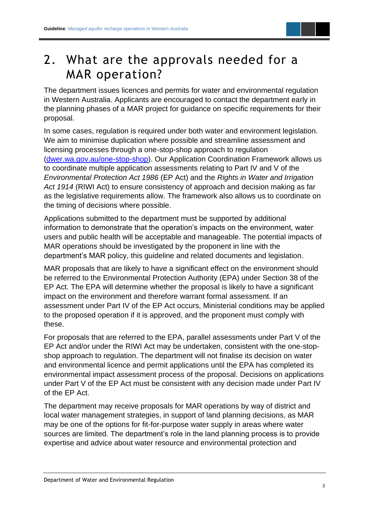

### <span id="page-5-0"></span>2. What are the approvals needed for a MAR operation?

The department issues licences and permits for water and environmental regulation in Western Australia. Applicants are encouraged to contact the department early in the planning phases of a MAR project for guidance on specific requirements for their proposal.

In some cases, regulation is required under both water and environment legislation. We aim to minimise duplication where possible and streamline assessment and licensing processes through a one-stop-shop approach to regulation [\(dwer.wa.gov.au/one-stop-shop\)](https://dwer.wa.gov.au/one-stop-shop). Our Application Coordination Framework allows us to coordinate multiple application assessments relating to Part IV and V of the *Environmental Protection Act 1986* (EP Act) and the *Rights in Water and Irrigation Act 1914* (RIWI Act) to ensure consistency of approach and decision making as far as the legislative requirements allow. The framework also allows us to coordinate on the timing of decisions where possible.

Applications submitted to the department must be supported by additional information to demonstrate that the operation's impacts on the environment, water users and public health will be acceptable and manageable. The potential impacts of MAR operations should be investigated by the proponent in line with the department's MAR policy, this guideline and related documents and legislation.

MAR proposals that are likely to have a significant effect on the environment should be referred to the Environmental Protection Authority (EPA) under Section 38 of the EP Act. The EPA will determine whether the proposal is likely to have a significant impact on the environment and therefore warrant formal assessment. If an assessment under Part IV of the EP Act occurs, Ministerial conditions may be applied to the proposed operation if it is approved, and the proponent must comply with these.

For proposals that are referred to the EPA, parallel assessments under Part V of the EP Act and/or under the RIWI Act may be undertaken, consistent with the one-stopshop approach to regulation. The department will not finalise its decision on water and environmental licence and permit applications until the EPA has completed its environmental impact assessment process of the proposal. Decisions on applications under Part V of the EP Act must be consistent with any decision made under Part IV of the EP Act.

The department may receive proposals for MAR operations by way of district and local water management strategies, in support of land planning decisions, as MAR may be one of the options for fit-for-purpose water supply in areas where water sources are limited. The department's role in the land planning process is to provide expertise and advice about water resource and environmental protection and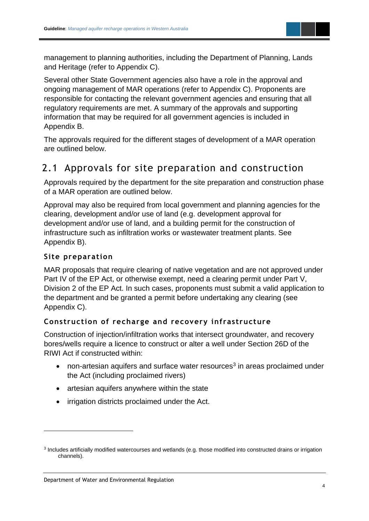

management to planning authorities, including the Department of Planning, Lands and Heritage (refer to Appendix C).

Several other State Government agencies also have a role in the approval and ongoing management of MAR operations (refer to Appendix C). Proponents are responsible for contacting the relevant government agencies and ensuring that all regulatory requirements are met. A summary of the approvals and supporting information that may be required for all government agencies is included in Appendix B.

The approvals required for the different stages of development of a MAR operation are outlined below.

### <span id="page-6-0"></span>2.1 Approvals for site preparation and construction

Approvals required by the department for the site preparation and construction phase of a MAR operation are outlined below.

Approval may also be required from local government and planning agencies for the clearing, development and/or use of land (e.g. development approval for development and/or use of land, and a building permit for the construction of infrastructure such as infiltration works or wastewater treatment plants. See Appendix B).

#### **Site preparation**

MAR proposals that require clearing of native vegetation and are not approved under Part IV of the EP Act, or otherwise exempt, need a clearing permit under Part V, Division 2 of the EP Act. In such cases, proponents must submit a valid application to the department and be granted a permit before undertaking any clearing (see Appendix C).

#### **Construction of recharge and recovery infrastructure**

Construction of injection/infiltration works that intersect groundwater, and recovery bores/wells require a licence to construct or alter a well under Section 26D of the RIWI Act if constructed within:

- non-artesian aquifers and surface water resources<sup>3</sup> in areas proclaimed under the Act (including proclaimed rivers)
- artesian aquifers anywhere within the state
- irrigation districts proclaimed under the Act.

<sup>&</sup>lt;sup>3</sup> Includes artificially modified watercourses and wetlands (e.g. those modified into constructed drains or irrigation channels).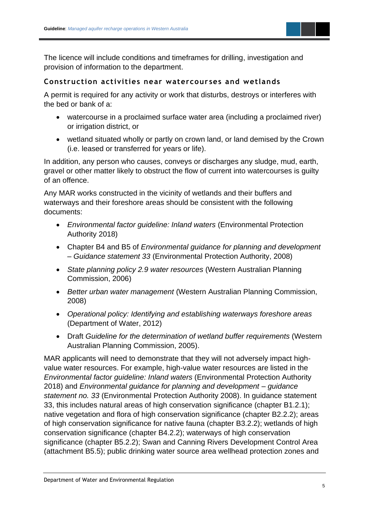

The licence will include conditions and timeframes for drilling, investigation and provision of information to the department.

#### **Construction activities near watercour ses and wetlands**

A permit is required for any activity or work that disturbs, destroys or interferes with the bed or bank of a:

- watercourse in a proclaimed surface water area (including a proclaimed river) or irrigation district, or
- wetland situated wholly or partly on crown land, or land demised by the Crown (i.e. leased or transferred for years or life).

In addition, any person who causes, conveys or discharges any sludge, mud, earth, gravel or other matter likely to obstruct the flow of current into watercourses is guilty of an offence.

Any MAR works constructed in the vicinity of wetlands and their buffers and waterways and their foreshore areas should be consistent with the following documents:

- *Environmental factor guideline: Inland waters* (Environmental Protection Authority 2018)
- Chapter B4 and B5 of *Environmental guidance for planning and development – Guidance statement 33* (Environmental Protection Authority, 2008)
- *State planning policy 2.9 water resources* (Western Australian Planning Commission, 2006)
- *Better urban water management* (Western Australian Planning Commission, 2008)
- *Operational policy: Identifying and establishing waterways foreshore areas* (Department of Water, 2012)
- Draft *Guideline for the determination of wetland buffer requirements* (Western Australian Planning Commission, 2005).

MAR applicants will need to demonstrate that they will not adversely impact highvalue water resources. For example, high-value water resources are listed in the *Environmental factor guideline: Inland waters* (Environmental Protection Authority 2018) and *Environmental guidance for planning and development – guidance statement no. 33* (Environmental Protection Authority 2008). In guidance statement 33, this includes natural areas of high conservation significance (chapter B1.2.1); native vegetation and flora of high conservation significance (chapter B2.2.2); areas of high conservation significance for native fauna (chapter B3.2.2); wetlands of high conservation significance (chapter B4.2.2); waterways of high conservation significance (chapter B5.2.2); Swan and Canning Rivers Development Control Area (attachment B5.5); public drinking water source area wellhead protection zones and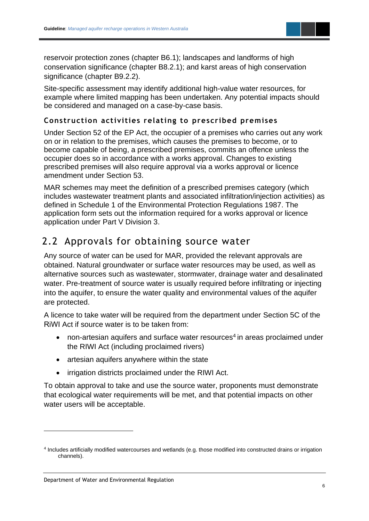

reservoir protection zones (chapter B6.1); landscapes and landforms of high conservation significance (chapter B8.2.1); and karst areas of high conservation significance (chapter B9.2.2).

Site-specific assessment may identify additional high-value water resources, for example where limited mapping has been undertaken. Any potential impacts should be considered and managed on a case-by-case basis.

#### **Construction activities relating to prescribed premises**

Under Section 52 of the EP Act, the occupier of a premises who carries out any work on or in relation to the premises, which causes the premises to become, or to become capable of being, a prescribed premises, commits an offence unless the occupier does so in accordance with a works approval. Changes to existing prescribed premises will also require approval via a works approval or licence amendment under Section 53.

MAR schemes may meet the definition of a prescribed premises category (which includes wastewater treatment plants and associated infiltration/injection activities) as defined in Schedule 1 of the Environmental Protection Regulations 1987. The application form sets out the information required for a works approval or licence application under Part V Division 3.

### <span id="page-8-0"></span>2.2 Approvals for obtaining source water

Any source of water can be used for MAR, provided the relevant approvals are obtained. Natural groundwater or surface water resources may be used, as well as alternative sources such as wastewater, stormwater, drainage water and desalinated water. Pre-treatment of source water is usually required before infiltrating or injecting into the aquifer, to ensure the water quality and environmental values of the aquifer are protected.

A licence to take water will be required from the department under Section 5C of the RiWI Act if source water is to be taken from:

- non-artesian aquifers and surface water resources<sup>4</sup> in areas proclaimed under the RIWI Act (including proclaimed rivers)
- artesian aquifers anywhere within the state
- irrigation districts proclaimed under the RIWI Act.

To obtain approval to take and use the source water, proponents must demonstrate that ecological water requirements will be met, and that potential impacts on other water users will be acceptable.

<sup>4</sup> Includes artificially modified watercourses and wetlands (e.g. those modified into constructed drains or irrigation channels).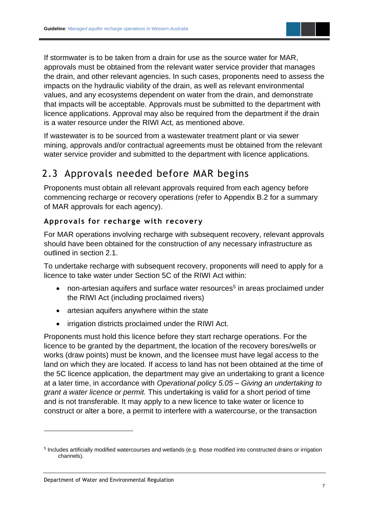If stormwater is to be taken from a drain for use as the source water for MAR, approvals must be obtained from the relevant water service provider that manages the drain, and other relevant agencies. In such cases, proponents need to assess the impacts on the hydraulic viability of the drain, as well as relevant environmental values, and any ecosystems dependent on water from the drain, and demonstrate that impacts will be acceptable. Approvals must be submitted to the department with licence applications. Approval may also be required from the department if the drain is a water resource under the RIWI Act, as mentioned above.

If wastewater is to be sourced from a wastewater treatment plant or via sewer mining, approvals and/or contractual agreements must be obtained from the relevant water service provider and submitted to the department with licence applications.

### <span id="page-9-0"></span>2.3 Approvals needed before MAR begins

Proponents must obtain all relevant approvals required from each agency before commencing recharge or recovery operations (refer to Appendix B.2 for a summary of MAR approvals for each agency).

### **Approvals for recharge with recovery**

For MAR operations involving recharge with subsequent recovery, relevant approvals should have been obtained for the construction of any necessary infrastructure as outlined in section 2.1.

To undertake recharge with subsequent recovery, proponents will need to apply for a licence to take water under Section 5C of the RIWI Act within:

- non-artesian aquifers and surface water resources<sup>5</sup> in areas proclaimed under the RIWI Act (including proclaimed rivers)
- artesian aquifers anywhere within the state
- irrigation districts proclaimed under the RIWI Act.

Proponents must hold this licence before they start recharge operations. For the licence to be granted by the department, the location of the recovery bores/wells or works (draw points) must be known, and the licensee must have legal access to the land on which they are located. If access to land has not been obtained at the time of the 5C licence application, the department may give an undertaking to grant a licence at a later time, in accordance with *Operational policy 5.05 – Giving an undertaking to grant a water licence or permit.* This undertaking is valid for a short period of time and is not transferable. It may apply to a new licence to take water or licence to construct or alter a bore, a permit to interfere with a watercourse, or the transaction

<sup>&</sup>lt;sup>5</sup> Includes artificially modified watercourses and wetlands (e.g. those modified into constructed drains or irrigation channels).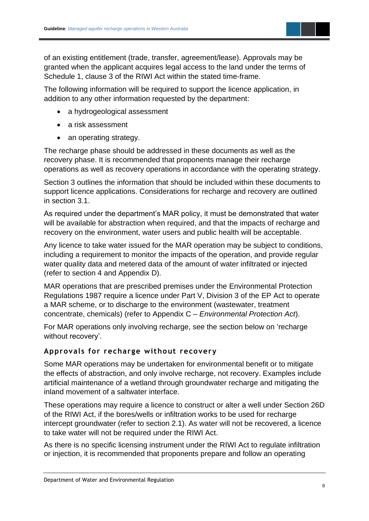of an existing entitlement (trade, transfer, agreement/lease). Approvals may be granted when the applicant acquires legal access to the land under the terms of Schedule 1, clause 3 of the RIWI Act within the stated time-frame.

The following information will be required to support the licence application, in addition to any other information requested by the department:

- a hydrogeological assessment
- a risk assessment
- an operating strategy.

The recharge phase should be addressed in these documents as well as the recovery phase. It is recommended that proponents manage their recharge operations as well as recovery operations in accordance with the operating strategy.

Section 3 outlines the information that should be included within these documents to support licence applications. Considerations for recharge and recovery are outlined in section 3.1.

As required under the department's MAR policy, it must be demonstrated that water will be available for abstraction when required, and that the impacts of recharge and recovery on the environment, water users and public health will be acceptable.

Any licence to take water issued for the MAR operation may be subject to conditions, including a requirement to monitor the impacts of the operation, and provide regular water quality data and metered data of the amount of water infiltrated or injected (refer to section 4 and Appendix D).

MAR operations that are prescribed premises under the Environmental Protection Regulations 1987 require a licence under Part V, Division 3 of the EP Act to operate a MAR scheme, or to discharge to the environment (wastewater, treatment concentrate, chemicals) (refer to Appendix C – *Environmental Protection Act*).

For MAR operations only involving recharge, see the section below on 'recharge without recovery'.

#### **Approvals for recharge without recovery**

Some MAR operations may be undertaken for environmental benefit or to mitigate the effects of abstraction, and only involve recharge, not recovery. Examples include artificial maintenance of a wetland through groundwater recharge and mitigating the inland movement of a saltwater interface.

These operations may require a licence to construct or alter a well under Section 26D of the RIWI Act, if the bores/wells or infiltration works to be used for recharge intercept groundwater (refer to section 2.1). As water will not be recovered, a licence to take water will not be required under the RIWI Act.

As there is no specific licensing instrument under the RIWI Act to regulate infiltration or injection, it is recommended that proponents prepare and follow an operating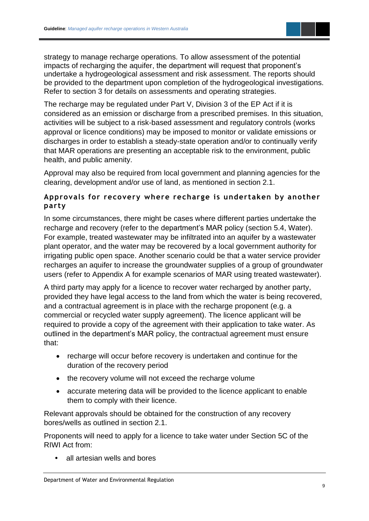strategy to manage recharge operations. To allow assessment of the potential impacts of recharging the aquifer, the department will request that proponent's undertake a hydrogeological assessment and risk assessment. The reports should be provided to the department upon completion of the hydrogeological investigations. Refer to section 3 for details on assessments and operating strategies.

The recharge may be regulated under Part V, Division 3 of the EP Act if it is considered as an emission or discharge from a prescribed premises. In this situation, activities will be subject to a risk-based assessment and regulatory controls (works approval or licence conditions) may be imposed to monitor or validate emissions or discharges in order to establish a steady-state operation and/or to continually verify that MAR operations are presenting an acceptable risk to the environment, public health, and public amenity.

Approval may also be required from local government and planning agencies for the clearing, development and/or use of land, as mentioned in section 2.1.

#### **Approvals for recovery where recharge is undertaken by another party**

In some circumstances, there might be cases where different parties undertake the recharge and recovery (refer to the department's MAR policy (section 5.4, Water). For example, treated wastewater may be infiltrated into an aquifer by a wastewater plant operator, and the water may be recovered by a local government authority for irrigating public open space. Another scenario could be that a water service provider recharges an aquifer to increase the groundwater supplies of a group of groundwater users (refer to Appendix A for example scenarios of MAR using treated wastewater).

A third party may apply for a licence to recover water recharged by another party, provided they have legal access to the land from which the water is being recovered, and a contractual agreement is in place with the recharge proponent (e.g. a commercial or recycled water supply agreement). The licence applicant will be required to provide a copy of the agreement with their application to take water. As outlined in the department's MAR policy, the contractual agreement must ensure that:

- recharge will occur before recovery is undertaken and continue for the duration of the recovery period
- the recovery volume will not exceed the recharge volume
- accurate metering data will be provided to the licence applicant to enable them to comply with their licence.

Relevant approvals should be obtained for the construction of any recovery bores/wells as outlined in section 2.1.

Proponents will need to apply for a licence to take water under Section 5C of the RIWI Act from:

**•** all artesian wells and bores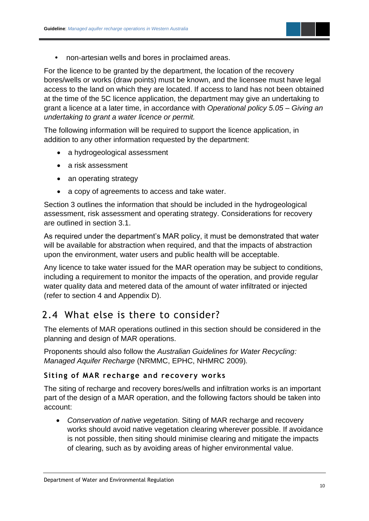

**•** non-artesian wells and bores in proclaimed areas.

For the licence to be granted by the department, the location of the recovery bores/wells or works (draw points) must be known, and the licensee must have legal access to the land on which they are located. If access to land has not been obtained at the time of the 5C licence application, the department may give an undertaking to grant a licence at a later time, in accordance with *Operational policy 5.05 – Giving an undertaking to grant a water licence or permit.*

The following information will be required to support the licence application, in addition to any other information requested by the department:

- a hydrogeological assessment
- a risk assessment
- an operating strategy
- a copy of agreements to access and take water.

Section 3 outlines the information that should be included in the hydrogeological assessment, risk assessment and operating strategy. Considerations for recovery are outlined in section 3.1.

As required under the department's MAR policy, it must be demonstrated that water will be available for abstraction when required, and that the impacts of abstraction upon the environment, water users and public health will be acceptable.

Any licence to take water issued for the MAR operation may be subject to conditions, including a requirement to monitor the impacts of the operation, and provide regular water quality data and metered data of the amount of water infiltrated or injected (refer to section 4 and Appendix D).

### <span id="page-12-0"></span>2.4 What else is there to consider?

The elements of MAR operations outlined in this section should be considered in the planning and design of MAR operations.

Proponents should also follow the *Australian Guidelines for Water Recycling: Managed Aquifer Recharge* (NRMMC, EPHC, NHMRC 2009)*.*

#### **Siting of MAR recharge and recovery works**

The siting of recharge and recovery bores/wells and infiltration works is an important part of the design of a MAR operation, and the following factors should be taken into account:

• *Conservation of native vegetation.* Siting of MAR recharge and recovery works should avoid native vegetation clearing wherever possible. If avoidance is not possible, then siting should minimise clearing and mitigate the impacts of clearing, such as by avoiding areas of higher environmental value.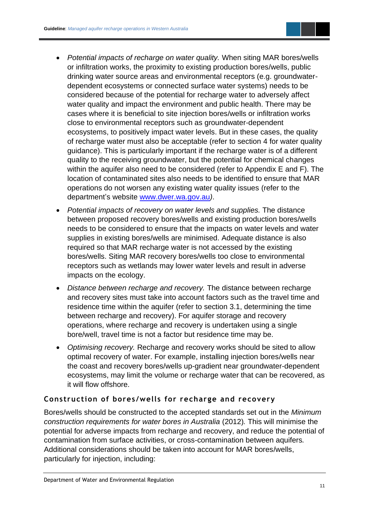- *Potential impacts of recharge on water quality.* When siting MAR bores/wells or infiltration works, the proximity to existing production bores/wells, public drinking water source areas and environmental receptors (e.g. groundwaterdependent ecosystems or connected surface water systems) needs to be considered because of the potential for recharge water to adversely affect water quality and impact the environment and public health. There may be cases where it is beneficial to site injection bores/wells or infiltration works close to environmental receptors such as groundwater-dependent ecosystems, to positively impact water levels. But in these cases, the quality of recharge water must also be acceptable (refer to section 4 for water quality guidance). This is particularly important if the recharge water is of a different quality to the receiving groundwater, but the potential for chemical changes within the aquifer also need to be considered (refer to Appendix E and F). The location of contaminated sites also needs to be identified to ensure that MAR operations do not worsen any existing water quality issues (refer to the department's website [www.dwer.wa.gov.au](http://www.dwer.wa.gov.au/)*)*.
- *Potential impacts of recovery on water levels and supplies.* The distance between proposed recovery bores/wells and existing production bores/wells needs to be considered to ensure that the impacts on water levels and water supplies in existing bores/wells are minimised. Adequate distance is also required so that MAR recharge water is not accessed by the existing bores/wells. Siting MAR recovery bores/wells too close to environmental receptors such as wetlands may lower water levels and result in adverse impacts on the ecology.
- *Distance between recharge and recovery.* The distance between recharge and recovery sites must take into account factors such as the travel time and residence time within the aquifer (refer to section 3.1, determining the time between recharge and recovery). For aquifer storage and recovery operations, where recharge and recovery is undertaken using a single bore/well, travel time is not a factor but residence time may be.
- *Optimising recovery.* Recharge and recovery works should be sited to allow optimal recovery of water. For example, installing injection bores/wells near the coast and recovery bores/wells up-gradient near groundwater-dependent ecosystems, may limit the volume or recharge water that can be recovered, as it will flow offshore.

#### **Construction of bores /wells for recharge and recovery**

Bores/wells should be constructed to the accepted standards set out in the *Minimum construction requirements for water bores in Australia* (2012)*.* This will minimise the potential for adverse impacts from recharge and recovery, and reduce the potential of contamination from surface activities, or cross-contamination between aquifers*.*  Additional considerations should be taken into account for MAR bores/wells, particularly for injection, including: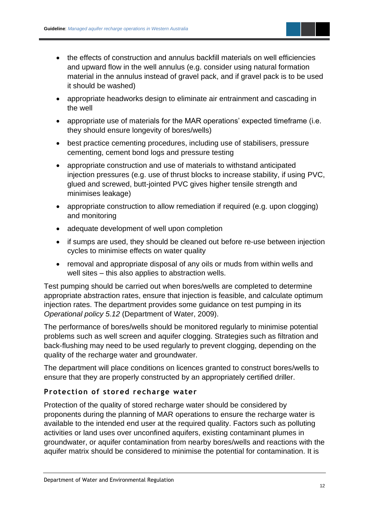- the effects of construction and annulus backfill materials on well efficiencies and upward flow in the well annulus (e.g. consider using natural formation material in the annulus instead of gravel pack, and if gravel pack is to be used it should be washed)
- appropriate headworks design to eliminate air entrainment and cascading in the well
- appropriate use of materials for the MAR operations' expected timeframe (i.e. they should ensure longevity of bores/wells)
- best practice cementing procedures, including use of stabilisers, pressure cementing, cement bond logs and pressure testing
- appropriate construction and use of materials to withstand anticipated injection pressures (e.g. use of thrust blocks to increase stability, if using PVC, glued and screwed, butt-jointed PVC gives higher tensile strength and minimises leakage)
- appropriate construction to allow remediation if required (e.g. upon clogging) and monitoring
- adequate development of well upon completion
- if sumps are used, they should be cleaned out before re-use between injection cycles to minimise effects on water quality
- removal and appropriate disposal of any oils or muds from within wells and well sites – this also applies to abstraction wells.

Test pumping should be carried out when bores/wells are completed to determine appropriate abstraction rates, ensure that injection is feasible, and calculate optimum injection rates. The department provides some guidance on test pumping in its *Operational policy 5.12* (Department of Water, 2009).

The performance of bores/wells should be monitored regularly to minimise potential problems such as well screen and aquifer clogging. Strategies such as filtration and back-flushing may need to be used regularly to prevent clogging, depending on the quality of the recharge water and groundwater.

The department will place conditions on licences granted to construct bores/wells to ensure that they are properly constructed by an appropriately certified driller.

#### **Protection of stored recharge water**

Protection of the quality of stored recharge water should be considered by proponents during the planning of MAR operations to ensure the recharge water is available to the intended end user at the required quality. Factors such as polluting activities or land uses over unconfined aquifers, existing contaminant plumes in groundwater, or aquifer contamination from nearby bores/wells and reactions with the aquifer matrix should be considered to minimise the potential for contamination. It is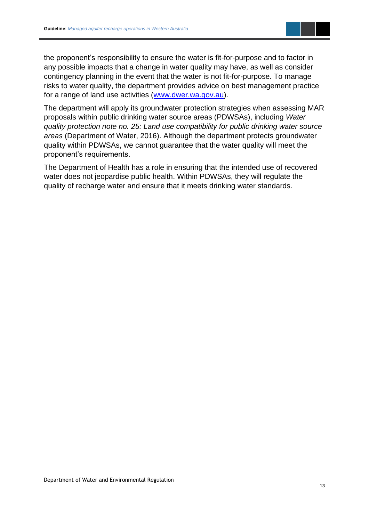

the proponent's responsibility to ensure the water is fit-for-purpose and to factor in any possible impacts that a change in water quality may have, as well as consider contingency planning in the event that the water is not fit-for-purpose. To manage risks to water quality, the department provides advice on best management practice for a range of land use activities [\(www.dwer.wa.gov.au\)](file://///ellen/wdata/P&I/SP/Policy/WA%20Water%20Reform%202016/Water%20reform%20policy%20review%20program/Policy%20reviews/MAR%20policy/Guideline/www.dwer.wa.gov.au).

The department will apply its groundwater protection strategies when assessing MAR proposals within public drinking water source areas (PDWSAs), including *Water quality protection note no. 25: Land use compatibility for public drinking water source areas* (Department of Water, 2016). Although the department protects groundwater quality within PDWSAs, we cannot guarantee that the water quality will meet the proponent's requirements.

The Department of Health has a role in ensuring that the intended use of recovered water does not jeopardise public health. Within PDWSAs, they will regulate the quality of recharge water and ensure that it meets drinking water standards.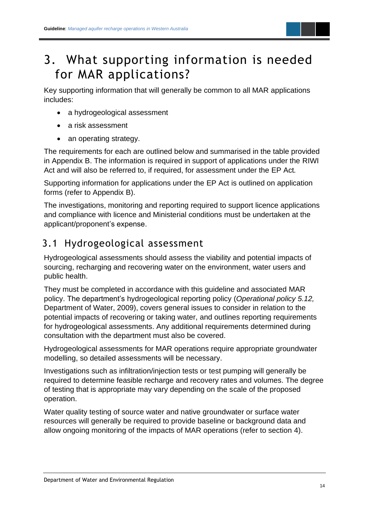### <span id="page-16-0"></span>3. What supporting information is needed for MAR applications?

Key supporting information that will generally be common to all MAR applications includes:

- a hydrogeological assessment
- a risk assessment
- an operating strategy.

The requirements for each are outlined below and summarised in the table provided in Appendix B. The information is required in support of applications under the RIWI Act and will also be referred to, if required, for assessment under the EP Act*.*

Supporting information for applications under the EP Act is outlined on application forms (refer to Appendix B).

The investigations, monitoring and reporting required to support licence applications and compliance with licence and Ministerial conditions must be undertaken at the applicant/proponent's expense.

### <span id="page-16-1"></span>3.1 Hydrogeological assessment

Hydrogeological assessments should assess the viability and potential impacts of sourcing, recharging and recovering water on the environment, water users and public health.

They must be completed in accordance with this guideline and associated MAR policy. The department's hydrogeological reporting policy (*Operational policy 5.12,*  Department of Water, 2009), covers general issues to consider in relation to the potential impacts of recovering or taking water, and outlines reporting requirements for hydrogeological assessments. Any additional requirements determined during consultation with the department must also be covered.

Hydrogeological assessments for MAR operations require appropriate groundwater modelling, so detailed assessments will be necessary.

Investigations such as infiltration/injection tests or test pumping will generally be required to determine feasible recharge and recovery rates and volumes. The degree of testing that is appropriate may vary depending on the scale of the proposed operation.

Water quality testing of source water and native groundwater or surface water resources will generally be required to provide baseline or background data and allow ongoing monitoring of the impacts of MAR operations (refer to section 4).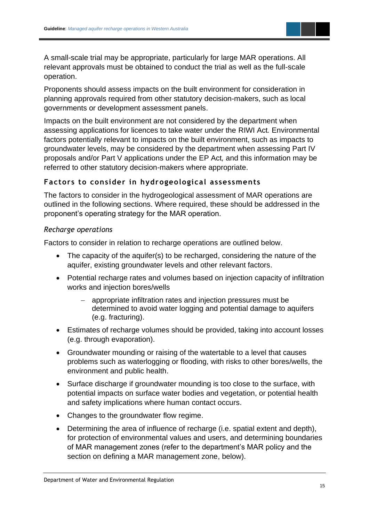A small-scale trial may be appropriate, particularly for large MAR operations. All relevant approvals must be obtained to conduct the trial as well as the full-scale operation.

Proponents should assess impacts on the built environment for consideration in planning approvals required from other statutory decision-makers, such as local governments or development assessment panels.

Impacts on the built environment are not considered by the department when assessing applications for licences to take water under the RIWI Act*.* Environmental factors potentially relevant to impacts on the built environment, such as impacts to groundwater levels, may be considered by the department when assessing Part IV proposals and/or Part V applications under the EP Act*,* and this information may be referred to other statutory decision-makers where appropriate.

#### **Factors to consider in hydrogeological assessments**

The factors to consider in the hydrogeological assessment of MAR operations are outlined in the following sections. Where required, these should be addressed in the proponent's operating strategy for the MAR operation.

#### *Recharge operations*

Factors to consider in relation to recharge operations are outlined below.

- The capacity of the aquifer(s) to be recharged, considering the nature of the aquifer, existing groundwater levels and other relevant factors.
- Potential recharge rates and volumes based on injection capacity of infiltration works and injection bores/wells
	- − appropriate infiltration rates and injection pressures must be determined to avoid water logging and potential damage to aquifers (e.g. fracturing).
- Estimates of recharge volumes should be provided, taking into account losses (e.g. through evaporation).
- Groundwater mounding or raising of the watertable to a level that causes problems such as waterlogging or flooding, with risks to other bores/wells, the environment and public health.
- Surface discharge if groundwater mounding is too close to the surface, with potential impacts on surface water bodies and vegetation, or potential health and safety implications where human contact occurs.
- Changes to the groundwater flow regime.
- Determining the area of influence of recharge (i.e. spatial extent and depth), for protection of environmental values and users, and determining boundaries of MAR management zones (refer to the department's MAR policy and the section on defining a MAR management zone, below).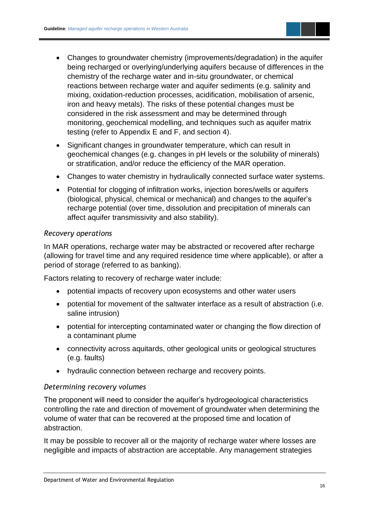- Changes to groundwater chemistry (improvements/degradation) in the aquifer being recharged or overlying/underlying aquifers because of differences in the chemistry of the recharge water and in-situ groundwater, or chemical reactions between recharge water and aquifer sediments (e.g. salinity and mixing, oxidation-reduction processes, acidification, mobilisation of arsenic, iron and heavy metals). The risks of these potential changes must be considered in the risk assessment and may be determined through monitoring, geochemical modelling, and techniques such as aquifer matrix testing (refer to Appendix E and F, and section 4).
- Significant changes in groundwater temperature, which can result in geochemical changes (e.g. changes in pH levels or the solubility of minerals) or stratification, and/or reduce the efficiency of the MAR operation.
- Changes to water chemistry in hydraulically connected surface water systems.
- Potential for clogging of infiltration works, injection bores/wells or aquifers (biological, physical, chemical or mechanical) and changes to the aquifer's recharge potential (over time, dissolution and precipitation of minerals can affect aquifer transmissivity and also stability).

#### *Recovery operations*

In MAR operations, recharge water may be abstracted or recovered after recharge (allowing for travel time and any required residence time where applicable), or after a period of storage (referred to as banking).

Factors relating to recovery of recharge water include:

- potential impacts of recovery upon ecosystems and other water users
- potential for movement of the saltwater interface as a result of abstraction (i.e. saline intrusion)
- potential for intercepting contaminated water or changing the flow direction of a contaminant plume
- connectivity across aquitards, other geological units or geological structures (e.g. faults)
- hydraulic connection between recharge and recovery points.

#### *Determining recovery volumes*

The proponent will need to consider the aquifer's hydrogeological characteristics controlling the rate and direction of movement of groundwater when determining the volume of water that can be recovered at the proposed time and location of abstraction.

It may be possible to recover all or the majority of recharge water where losses are negligible and impacts of abstraction are acceptable. Any management strategies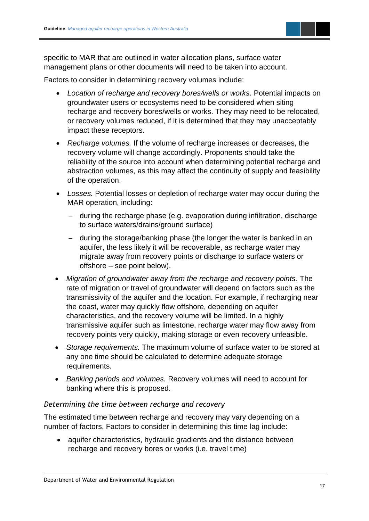

specific to MAR that are outlined in water allocation plans, surface water management plans or other documents will need to be taken into account.

Factors to consider in determining recovery volumes include:

- *Location of recharge and recovery bores/wells or works.* Potential impacts on groundwater users or ecosystems need to be considered when siting recharge and recovery bores/wells or works. They may need to be relocated, or recovery volumes reduced, if it is determined that they may unacceptably impact these receptors.
- *Recharge volumes.* If the volume of recharge increases or decreases, the recovery volume will change accordingly. Proponents should take the reliability of the source into account when determining potential recharge and abstraction volumes, as this may affect the continuity of supply and feasibility of the operation.
- *Losses.* Potential losses or depletion of recharge water may occur during the MAR operation, including:
	- − during the recharge phase (e.g. evaporation during infiltration, discharge to surface waters/drains/ground surface)
	- − during the storage/banking phase (the longer the water is banked in an aquifer, the less likely it will be recoverable, as recharge water may migrate away from recovery points or discharge to surface waters or offshore – see point below).
- *Migration of groundwater away from the recharge and recovery points.* The rate of migration or travel of groundwater will depend on factors such as the transmissivity of the aquifer and the location. For example, if recharging near the coast, water may quickly flow offshore, depending on aquifer characteristics, and the recovery volume will be limited. In a highly transmissive aquifer such as limestone, recharge water may flow away from recovery points very quickly, making storage or even recovery unfeasible.
- *Storage requirements.* The maximum volume of surface water to be stored at any one time should be calculated to determine adequate storage requirements.
- *Banking periods and volumes.* Recovery volumes will need to account for banking where this is proposed.

#### *Determining the time between recharge and recovery*

The estimated time between recharge and recovery may vary depending on a number of factors. Factors to consider in determining this time lag include:

• aquifer characteristics, hydraulic gradients and the distance between recharge and recovery bores or works (i.e. travel time)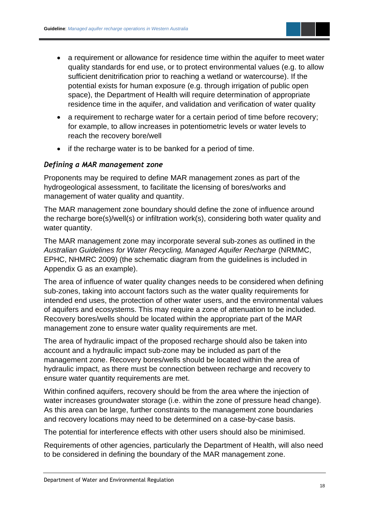- a requirement or allowance for residence time within the aquifer to meet water quality standards for end use, or to protect environmental values (e.g. to allow sufficient denitrification prior to reaching a wetland or watercourse). If the potential exists for human exposure (e.g. through irrigation of public open space), the Department of Health will require determination of appropriate residence time in the aquifer, and validation and verification of water quality
- a requirement to recharge water for a certain period of time before recovery; for example, to allow increases in potentiometric levels or water levels to reach the recovery bore/well
- if the recharge water is to be banked for a period of time.

#### *Defining a MAR management zone*

Proponents may be required to define MAR management zones as part of the hydrogeological assessment, to facilitate the licensing of bores/works and management of water quality and quantity.

The MAR management zone boundary should define the zone of influence around the recharge bore(s)/well(s) or infiltration work(s), considering both water quality and water quantity.

The MAR management zone may incorporate several sub-zones as outlined in the *Australian Guidelines for Water Recycling, Managed Aquifer Recharge* (NRMMC, EPHC, NHMRC 2009) (the schematic diagram from the guidelines is included in Appendix G as an example).

The area of influence of water quality changes needs to be considered when defining sub-zones, taking into account factors such as the water quality requirements for intended end uses, the protection of other water users, and the environmental values of aquifers and ecosystems. This may require a zone of attenuation to be included. Recovery bores/wells should be located within the appropriate part of the MAR management zone to ensure water quality requirements are met.

The area of hydraulic impact of the proposed recharge should also be taken into account and a hydraulic impact sub-zone may be included as part of the management zone. Recovery bores/wells should be located within the area of hydraulic impact, as there must be connection between recharge and recovery to ensure water quantity requirements are met.

Within confined aquifers, recovery should be from the area where the injection of water increases groundwater storage (i.e. within the zone of pressure head change). As this area can be large, further constraints to the management zone boundaries and recovery locations may need to be determined on a case-by-case basis.

The potential for interference effects with other users should also be minimised.

Requirements of other agencies, particularly the Department of Health, will also need to be considered in defining the boundary of the MAR management zone.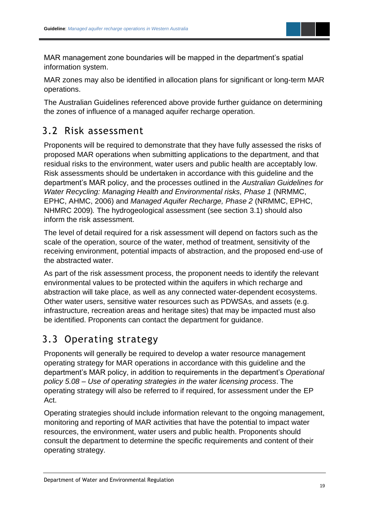

MAR management zone boundaries will be mapped in the department's spatial information system.

MAR zones may also be identified in allocation plans for significant or long-term MAR operations.

The Australian Guidelines referenced above provide further guidance on determining the zones of influence of a managed aquifer recharge operation.

### <span id="page-21-0"></span>3.2 Risk assessment

Proponents will be required to demonstrate that they have fully assessed the risks of proposed MAR operations when submitting applications to the department, and that residual risks to the environment, water users and public health are acceptably low. Risk assessments should be undertaken in accordance with this guideline and the department's MAR policy, and the processes outlined in the *Australian Guidelines for Water Recycling: Managing Health and Environmental risks, Phase 1* (NRMMC, EPHC, AHMC, 2006) and *Managed Aquifer Recharge, Phase 2* (NRMMC, EPHC, NHMRC 2009)*.* The hydrogeological assessment (see section 3.1) should also inform the risk assessment.

The level of detail required for a risk assessment will depend on factors such as the scale of the operation, source of the water, method of treatment, sensitivity of the receiving environment, potential impacts of abstraction, and the proposed end-use of the abstracted water.

As part of the risk assessment process, the proponent needs to identify the relevant environmental values to be protected within the aquifers in which recharge and abstraction will take place, as well as any connected water-dependent ecosystems. Other water users, sensitive water resources such as PDWSAs, and assets (e.g. infrastructure, recreation areas and heritage sites) that may be impacted must also be identified. Proponents can contact the department for guidance.

### <span id="page-21-1"></span>3.3 Operating strategy

Proponents will generally be required to develop a water resource management operating strategy for MAR operations in accordance with this guideline and the department's MAR policy, in addition to requirements in the department's *Operational policy 5.08 – Use of operating strategies in the water licensing process*. The operating strategy will also be referred to if required, for assessment under the EP Act.

Operating strategies should include information relevant to the ongoing management, monitoring and reporting of MAR activities that have the potential to impact water resources, the environment, water users and public health. Proponents should consult the department to determine the specific requirements and content of their operating strategy.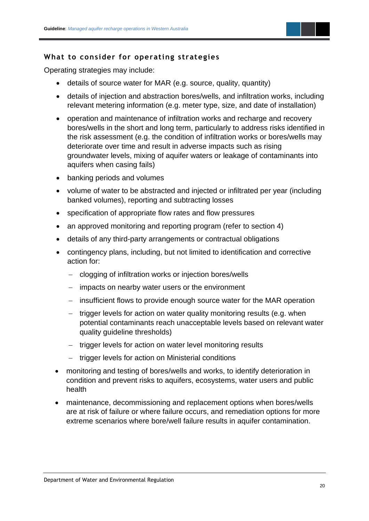

#### **What to consider for operating strategies**

Operating strategies may include:

- details of source water for MAR (e.g. source, quality, quantity)
- details of injection and abstraction bores/wells, and infiltration works, including relevant metering information (e.g. meter type, size, and date of installation)
- operation and maintenance of infiltration works and recharge and recovery bores/wells in the short and long term, particularly to address risks identified in the risk assessment (e.g. the condition of infiltration works or bores/wells may deteriorate over time and result in adverse impacts such as rising groundwater levels, mixing of aquifer waters or leakage of contaminants into aquifers when casing fails)
- banking periods and volumes
- volume of water to be abstracted and injected or infiltrated per year (including banked volumes), reporting and subtracting losses
- specification of appropriate flow rates and flow pressures
- an approved monitoring and reporting program (refer to section 4)
- details of any third-party arrangements or contractual obligations
- contingency plans, including, but not limited to identification and corrective action for:
	- − clogging of infiltration works or injection bores/wells
	- − impacts on nearby water users or the environment
	- − insufficient flows to provide enough source water for the MAR operation
	- − trigger levels for action on water quality monitoring results (e.g. when potential contaminants reach unacceptable levels based on relevant water quality guideline thresholds)
	- − trigger levels for action on water level monitoring results
	- − trigger levels for action on Ministerial conditions
- monitoring and testing of bores/wells and works, to identify deterioration in condition and prevent risks to aquifers, ecosystems, water users and public health
- maintenance, decommissioning and replacement options when bores/wells are at risk of failure or where failure occurs, and remediation options for more extreme scenarios where bore/well failure results in aquifer contamination.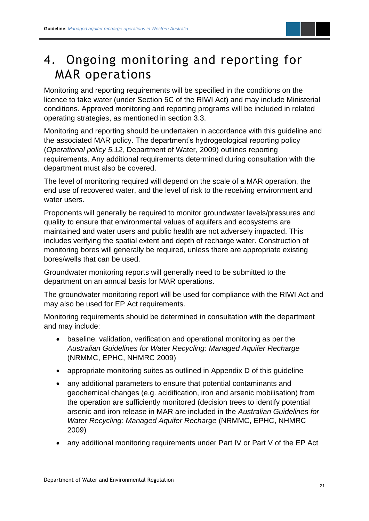### <span id="page-23-0"></span>4. Ongoing monitoring and reporting for MAR operations

Monitoring and reporting requirements will be specified in the conditions on the licence to take water (under Section 5C of the RIWI Act) and may include Ministerial conditions. Approved monitoring and reporting programs will be included in related operating strategies, as mentioned in section 3.3.

Monitoring and reporting should be undertaken in accordance with this guideline and the associated MAR policy. The department's hydrogeological reporting policy (*Operational policy 5.12,* Department of Water, 2009) outlines reporting requirements. Any additional requirements determined during consultation with the department must also be covered.

The level of monitoring required will depend on the scale of a MAR operation, the end use of recovered water, and the level of risk to the receiving environment and water users.

Proponents will generally be required to monitor groundwater levels/pressures and quality to ensure that environmental values of aquifers and ecosystems are maintained and water users and public health are not adversely impacted. This includes verifying the spatial extent and depth of recharge water. Construction of monitoring bores will generally be required, unless there are appropriate existing bores/wells that can be used.

Groundwater monitoring reports will generally need to be submitted to the department on an annual basis for MAR operations.

The groundwater monitoring report will be used for compliance with the RIWI Act and may also be used for EP Act requirements.

Monitoring requirements should be determined in consultation with the department and may include:

- baseline, validation, verification and operational monitoring as per the *Australian Guidelines for Water Recycling: Managed Aquifer Recharge* (NRMMC, EPHC, NHMRC 2009)
- appropriate monitoring suites as outlined in Appendix D of this guideline
- any additional parameters to ensure that potential contaminants and geochemical changes (e.g. acidification, iron and arsenic mobilisation) from the operation are sufficiently monitored (decision trees to identify potential arsenic and iron release in MAR are included in the *Australian Guidelines for Water Recycling: Managed Aquifer Recharge* (NRMMC, EPHC, NHMRC 2009)
- any additional monitoring requirements under Part IV or Part V of the EP Act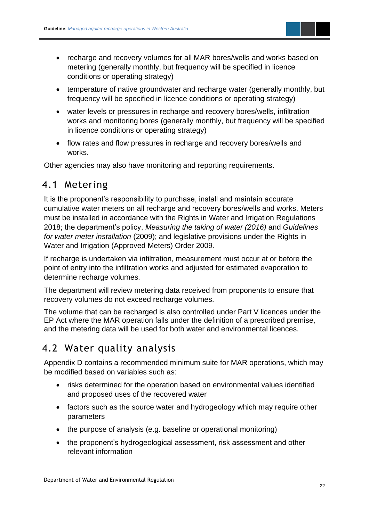

- recharge and recovery volumes for all MAR bores/wells and works based on metering (generally monthly, but frequency will be specified in licence conditions or operating strategy)
- temperature of native groundwater and recharge water (generally monthly, but frequency will be specified in licence conditions or operating strategy)
- water levels or pressures in recharge and recovery bores/wells, infiltration works and monitoring bores (generally monthly, but frequency will be specified in licence conditions or operating strategy)
- flow rates and flow pressures in recharge and recovery bores/wells and works.

Other agencies may also have monitoring and reporting requirements.

### <span id="page-24-0"></span>4.1 Metering

It is the proponent's responsibility to purchase, install and maintain accurate cumulative water meters on all recharge and recovery bores/wells and works. Meters must be installed in accordance with the Rights in Water and Irrigation Regulations 2018; the department's policy, *Measuring the taking of water (2016)* and *Guidelines for water meter installation* (2009); and legislative provisions under the Rights in Water and Irrigation (Approved Meters) Order 2009.

If recharge is undertaken via infiltration, measurement must occur at or before the point of entry into the infiltration works and adjusted for estimated evaporation to determine recharge volumes.

The department will review metering data received from proponents to ensure that recovery volumes do not exceed recharge volumes.

The volume that can be recharged is also controlled under Part V licences under the EP Act where the MAR operation falls under the definition of a prescribed premise, and the metering data will be used for both water and environmental licences.

### <span id="page-24-1"></span>4.2 Water quality analysis

Appendix D contains a recommended minimum suite for MAR operations, which may be modified based on variables such as:

- risks determined for the operation based on environmental values identified and proposed uses of the recovered water
- factors such as the source water and hydrogeology which may require other parameters
- the purpose of analysis (e.g. baseline or operational monitoring)
- the proponent's hydrogeological assessment, risk assessment and other relevant information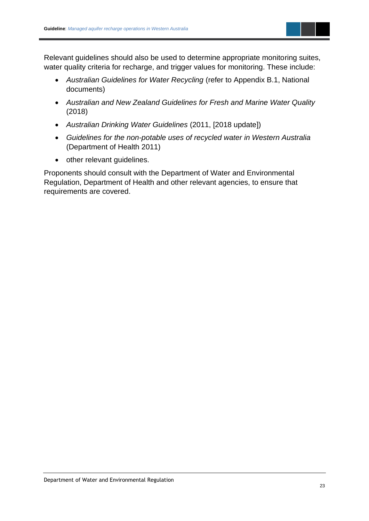

Relevant guidelines should also be used to determine appropriate monitoring suites, water quality criteria for recharge, and trigger values for monitoring. These include:

- *Australian Guidelines for Water Recycling* (refer to Appendix B.1, National documents)
- *Australian and New Zealand Guidelines for Fresh and Marine Water Quality*  (2018)
- *Australian Drinking Water Guidelines* (2011, [2018 update])
- *Guidelines for the non-potable uses of recycled water in Western Australia*  (Department of Health 2011)
- other relevant guidelines.

Proponents should consult with the Department of Water and Environmental Regulation, Department of Health and other relevant agencies, to ensure that requirements are covered.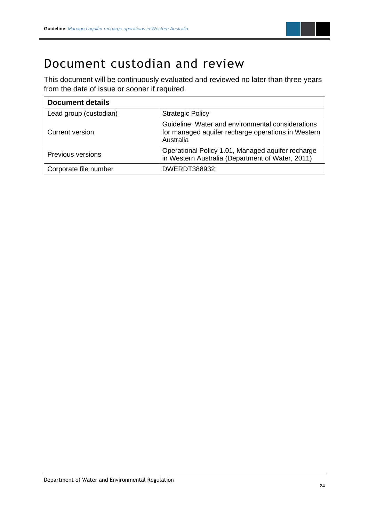

### <span id="page-26-0"></span>Document custodian and review

This document will be continuously evaluated and reviewed no later than three years from the date of issue or sooner if required.

| <b>Document details</b>  |                                                                                                                      |  |  |  |
|--------------------------|----------------------------------------------------------------------------------------------------------------------|--|--|--|
| Lead group (custodian)   | <b>Strategic Policy</b>                                                                                              |  |  |  |
| Current version          | Guideline: Water and environmental considerations<br>for managed aquifer recharge operations in Western<br>Australia |  |  |  |
| <b>Previous versions</b> | Operational Policy 1.01, Managed aquifer recharge<br>in Western Australia (Department of Water, 2011)                |  |  |  |
| Corporate file number    | <b>DWERDT388932</b>                                                                                                  |  |  |  |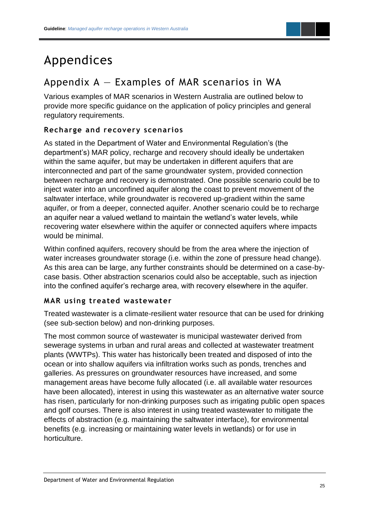

### <span id="page-27-0"></span>Appendices

### <span id="page-27-1"></span>Appendix  $A -$  Examples of MAR scenarios in WA

Various examples of MAR scenarios in Western Australia are outlined below to provide more specific guidance on the application of policy principles and general regulatory requirements.

#### **Recharge and recovery scenarios**

As stated in the Department of Water and Environmental Regulation's (the department's) MAR policy, recharge and recovery should ideally be undertaken within the same aquifer, but may be undertaken in different aquifers that are interconnected and part of the same groundwater system, provided connection between recharge and recovery is demonstrated. One possible scenario could be to inject water into an unconfined aquifer along the coast to prevent movement of the saltwater interface, while groundwater is recovered up-gradient within the same aquifer, or from a deeper, connected aquifer. Another scenario could be to recharge an aquifer near a valued wetland to maintain the wetland's water levels, while recovering water elsewhere within the aquifer or connected aquifers where impacts would be minimal.

Within confined aquifers, recovery should be from the area where the injection of water increases groundwater storage (i.e. within the zone of pressure head change). As this area can be large, any further constraints should be determined on a case-bycase basis. Other abstraction scenarios could also be acceptable, such as injection into the confined aquifer's recharge area, with recovery elsewhere in the aquifer.

#### **MAR using treated wastewater**

Treated wastewater is a climate-resilient water resource that can be used for drinking (see sub-section below) and non-drinking purposes.

The most common source of wastewater is municipal wastewater derived from sewerage systems in urban and rural areas and collected at wastewater treatment plants (WWTPs). This water has historically been treated and disposed of into the ocean or into shallow aquifers via infiltration works such as ponds, trenches and galleries. As pressures on groundwater resources have increased, and some management areas have become fully allocated (i.e. all available water resources have been allocated), interest in using this wastewater as an alternative water source has risen, particularly for non-drinking purposes such as irrigating public open spaces and golf courses. There is also interest in using treated wastewater to mitigate the effects of abstraction (e.g. maintaining the saltwater interface), for environmental benefits (e.g. increasing or maintaining water levels in wetlands) or for use in horticulture.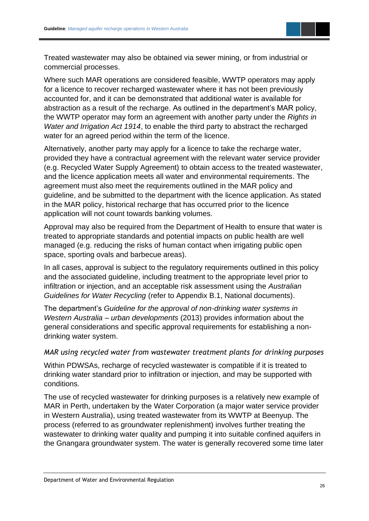

Treated wastewater may also be obtained via sewer mining, or from industrial or commercial processes.

Where such MAR operations are considered feasible, WWTP operators may apply for a licence to recover recharged wastewater where it has not been previously accounted for, and it can be demonstrated that additional water is available for abstraction as a result of the recharge. As outlined in the department's MAR policy, the WWTP operator may form an agreement with another party under the *Rights in Water and Irrigation Act 1914*, to enable the third party to abstract the recharged water for an agreed period within the term of the licence.

Alternatively, another party may apply for a licence to take the recharge water, provided they have a contractual agreement with the relevant water service provider (e.g. Recycled Water Supply Agreement) to obtain access to the treated wastewater, and the licence application meets all water and environmental requirements. The agreement must also meet the requirements outlined in the MAR policy and guideline, and be submitted to the department with the licence application. As stated in the MAR policy, historical recharge that has occurred prior to the licence application will not count towards banking volumes.

Approval may also be required from the Department of Health to ensure that water is treated to appropriate standards and potential impacts on public health are well managed (e.g. reducing the risks of human contact when irrigating public open space, sporting ovals and barbecue areas).

In all cases, approval is subject to the regulatory requirements outlined in this policy and the associated guideline, including treatment to the appropriate level prior to infiltration or injection, and an acceptable risk assessment using the *Australian Guidelines for Water Recycling* (refer to Appendix B.1, National documents).

The department's *Guideline for the approval of non-drinking water systems in Western Australia – urban developments* (2013) provides information about the general considerations and specific approval requirements for establishing a nondrinking water system.

#### *MAR using recycled water from wastewater treatment plants for drinking purposes*

Within PDWSAs, recharge of recycled wastewater is compatible if it is treated to drinking water standard prior to infiltration or injection, and may be supported with conditions.

The use of recycled wastewater for drinking purposes is a relatively new example of MAR in Perth, undertaken by the Water Corporation (a major water service provider in Western Australia), using treated wastewater from its WWTP at Beenyup. The process (referred to as groundwater replenishment) involves further treating the wastewater to drinking water quality and pumping it into suitable confined aquifers in the Gnangara groundwater system. The water is generally recovered some time later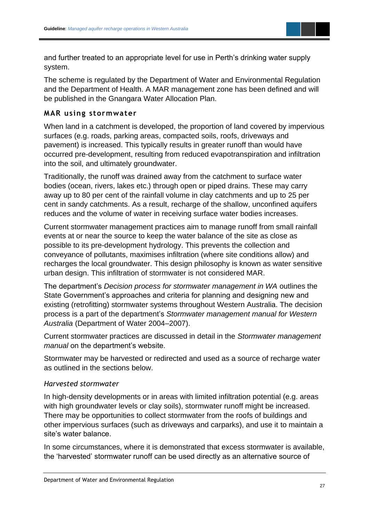

and further treated to an appropriate level for use in Perth's drinking water supply system.

The scheme is regulated by the Department of Water and Environmental Regulation and the Department of Health. A MAR management zone has been defined and will be published in the Gnangara Water Allocation Plan.

#### **MAR using stormwater**

When land in a catchment is developed, the proportion of land covered by impervious surfaces (e.g. roads, parking areas, compacted soils, roofs, driveways and pavement) is increased. This typically results in greater runoff than would have occurred pre-development, resulting from reduced evapotranspiration and infiltration into the soil, and ultimately groundwater.

Traditionally, the runoff was drained away from the catchment to surface water bodies (ocean, rivers, lakes etc.) through open or piped drains. These may carry away up to 80 per cent of the rainfall volume in clay catchments and up to 25 per cent in sandy catchments. As a result, recharge of the shallow, unconfined aquifers reduces and the volume of water in receiving surface water bodies increases.

Current stormwater management practices aim to manage runoff from small rainfall events at or near the source to keep the water balance of the site as close as possible to its pre-development hydrology. This prevents the collection and conveyance of pollutants, maximises infiltration (where site conditions allow) and recharges the local groundwater. This design philosophy is known as water sensitive urban design. This infiltration of stormwater is not considered MAR.

The department's *Decision process for stormwater management in WA* outlines the State Government's approaches and criteria for planning and designing new and existing (retrofitting) stormwater systems throughout Western Australia. The decision process is a part of the department's *Stormwater management manual for Western Australia* (Department of Water 2004–2007).

Current stormwater practices are discussed in detail in the *Stormwater management manual* on the department's website.

Stormwater may be harvested or redirected and used as a source of recharge water as outlined in the sections below.

#### *Harvested stormwater*

In high-density developments or in areas with limited infiltration potential (e.g. areas with high groundwater levels or clay soils), stormwater runoff might be increased. There may be opportunities to collect stormwater from the roofs of buildings and other impervious surfaces (such as driveways and carparks), and use it to maintain a site's water balance.

In some circumstances, where it is demonstrated that excess stormwater is available, the 'harvested' stormwater runoff can be used directly as an alternative source of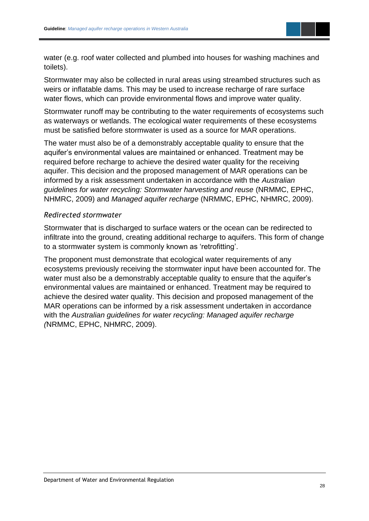

water (e.g. roof water collected and plumbed into houses for washing machines and toilets).

Stormwater may also be collected in rural areas using streambed structures such as weirs or inflatable dams. This may be used to increase recharge of rare surface water flows, which can provide environmental flows and improve water quality.

Stormwater runoff may be contributing to the water requirements of ecosystems such as waterways or wetlands. The ecological water requirements of these ecosystems must be satisfied before stormwater is used as a source for MAR operations.

The water must also be of a demonstrably acceptable quality to ensure that the aquifer's environmental values are maintained or enhanced. Treatment may be required before recharge to achieve the desired water quality for the receiving aquifer. This decision and the proposed management of MAR operations can be informed by a risk assessment undertaken in accordance with the *Australian guidelines for water recycling: Stormwater harvesting and reuse* (NRMMC, EPHC, NHMRC, 2009) and *Managed aquifer recharge* (NRMMC, EPHC, NHMRC, 2009).

#### *Redirected stormwater*

Stormwater that is discharged to surface waters or the ocean can be redirected to infiltrate into the ground, creating additional recharge to aquifers. This form of change to a stormwater system is commonly known as 'retrofitting'.

The proponent must demonstrate that ecological water requirements of any ecosystems previously receiving the stormwater input have been accounted for. The water must also be a demonstrably acceptable quality to ensure that the aquifer's environmental values are maintained or enhanced. Treatment may be required to achieve the desired water quality. This decision and proposed management of the MAR operations can be informed by a risk assessment undertaken in accordance with the *Australian guidelines for water recycling: Managed aquifer recharge (*NRMMC, EPHC, NHMRC, 2009).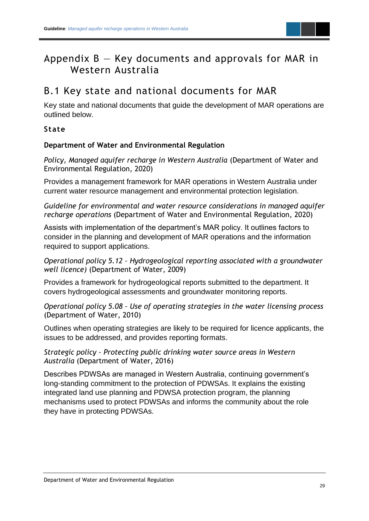### <span id="page-31-0"></span>Appendix  $B - Key$  documents and approvals for MAR in Western Australia

### <span id="page-31-1"></span>B.1 Key state and national documents for MAR

Key state and national documents that guide the development of MAR operations are outlined below.

#### **State**

#### **Department of Water and Environmental Regulation**

*Policy, Managed aquifer recharge in Western Australia* (Department of Water and Environmental Regulation, 2020)

Provides a management framework for MAR operations in Western Australia under current water resource management and environmental protection legislation.

*Guideline for environmental and water resource considerations in managed aquifer recharge operations* (Department of Water and Environmental Regulation, 2020)

Assists with implementation of the department's MAR policy. It outlines factors to consider in the planning and development of MAR operations and the information required to support applications.

*Operational policy 5.12 – Hydrogeological reporting associated with a groundwater well licence)* (Department of Water, 2009)

Provides a framework for hydrogeological reports submitted to the department. It covers hydrogeological assessments and groundwater monitoring reports.

*Operational policy 5.08 – Use of operating strategies in the water licensing process*  (Department of Water, 2010)

Outlines when operating strategies are likely to be required for licence applicants, the issues to be addressed, and provides reporting formats.

*Strategic policy – Protecting public drinking water source areas in Western Australia* (Department of Water, 2016)

Describes PDWSAs are managed in Western Australia, continuing government's long-standing commitment to the protection of PDWSAs. It explains the existing integrated land use planning and PDWSA protection program, the planning mechanisms used to protect PDWSAs and informs the community about the role they have in protecting PDWSAs.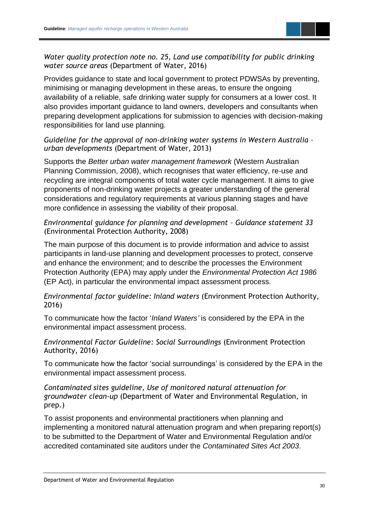

*Water quality protection note no. 25, Land use compatibility for public drinking water source areas* (Department of Water, 2016)

Provides guidance to state and local government to protect PDWSAs by preventing, minimising or managing development in these areas, to ensure the ongoing availability of a reliable, safe drinking water supply for consumers at a lower cost. It also provides important guidance to land owners, developers and consultants when preparing development applications for submission to agencies with decision-making responsibilities for land use planning.

#### *Guideline for the approval of non-drinking water systems in Western Australia – urban developments* (Department of Water, 2013)

Supports the *Better urban water management framework* (Western Australian Planning Commission, 2008), which recognises that water efficiency, re-use and recycling are integral components of total water cycle management. It aims to give proponents of non-drinking water projects a greater understanding of the general considerations and regulatory requirements at various planning stages and have more confidence in assessing the viability of their proposal.

#### *Environmental guidance for planning and development – Guidance statement 33*  (Environmental Protection Authority, 2008)

The main purpose of this document is to provide information and advice to assist participants in land-use planning and development processes to protect, conserve and enhance the environment; and to describe the processes the Environment Protection Authority (EPA) may apply under the *Environmental Protection Act 1986* (EP Act), in particular the environmental impact assessment process.

#### *Environmental factor guideline: Inland waters* (Environment Protection Authority, 2016)

To communicate how the factor '*Inland Waters'* is considered by the EPA in the environmental impact assessment process.

#### *Environmental Factor Guideline: Social Surroundings* (Environment Protection Authority, 2016)

To communicate how the factor 'social surroundings' is considered by the EPA in the environmental impact assessment process.

#### *Contaminated sites guideline, Use of monitored natural attenuation for groundwater clean-up* (Department of Water and Environmental Regulation, in prep.)

To assist proponents and environmental practitioners when planning and implementing a monitored natural attenuation program and when preparing report(s) to be submitted to the Department of Water and Environmental Regulation and/or accredited contaminated site auditors under the *Contaminated Sites Act 2003*.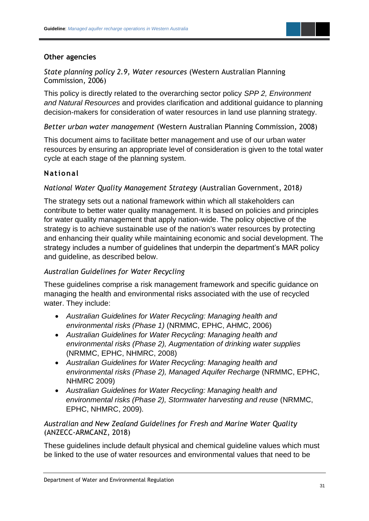

#### **Other agencies**

*State planning policy 2.9, Water resources* (Western Australian Planning Commission, 2006)

This policy is directly related to the overarching sector policy *SPP 2, Environment and Natural Resources* and provides clarification and additional guidance to planning decision-makers for consideration of water resources in land use planning strategy.

*Better urban water management* (Western Australian Planning Commission, 2008)

This document aims to facilitate better management and use of our urban water resources by ensuring an appropriate level of consideration is given to the total water cycle at each stage of the planning system.

#### **National**

*National Water Quality Management Strategy* (Australian Government, 2018*)*

The strategy sets out a national framework within which all stakeholders can contribute to better water quality management. It is based on policies and principles for water quality management that apply nation-wide. The policy objective of the strategy is to achieve sustainable use of the nation's water resources by protecting and enhancing their quality while maintaining economic and social development. The strategy includes a number of guidelines that underpin the department's MAR policy and guideline, as described below.

#### *Australian Guidelines for Water Recycling*

These guidelines comprise a risk management framework and specific guidance on managing the health and environmental risks associated with the use of recycled water. They include:

- *Australian Guidelines for Water Recycling: Managing health and environmental risks (Phase 1)* (NRMMC, EPHC, AHMC, 2006)
- *Australian Guidelines for Water Recycling: Managing health and environmental risks (Phase 2), Augmentation of drinking water supplies* (NRMMC, EPHC, NHMRC, 2008)
- *Australian Guidelines for Water Recycling: Managing health and environmental risks (Phase 2), Managed Aquifer Recharge* (NRMMC, EPHC, NHMRC 2009)
- *Australian Guidelines for Water Recycling: Managing health and environmental risks (Phase 2), Stormwater harvesting and reuse* (NRMMC, EPHC, NHMRC, 2009).

#### *Australian and New Zealand Guidelines for Fresh and Marine Water Quality*  (ANZECC-ARMCANZ, 2018)

These guidelines include default physical and chemical guideline values which must be linked to the use of water resources and environmental values that need to be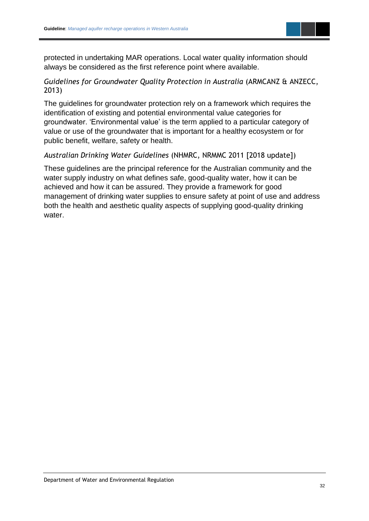

protected in undertaking MAR operations. Local water quality information should always be considered as the first reference point where available.

#### *Guidelines for Groundwater Quality Protection in Australia* (ARMCANZ & ANZECC, 2013)

The guidelines for groundwater protection rely on a framework which requires the identification of existing and potential environmental value categories for groundwater. 'Environmental value' is the term applied to a particular category of value or use of the groundwater that is important for a healthy ecosystem or for public benefit, welfare, safety or health.

#### *Australian Drinking Water Guidelines* (NHMRC, NRMMC 2011 [2018 update])

These guidelines are the principal reference for the Australian community and the water supply industry on what defines safe, good-quality water, how it can be achieved and how it can be assured. They provide a framework for good management of drinking water supplies to ensure safety at point of use and address both the health and aesthetic quality aspects of supplying good-quality drinking water.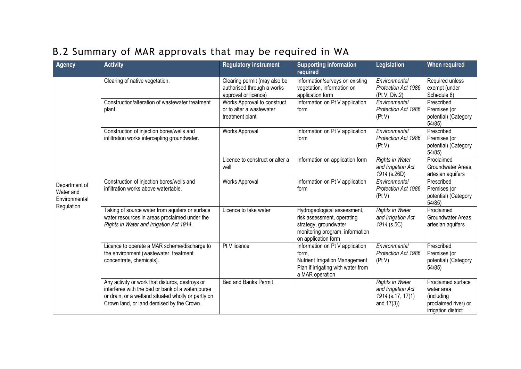<span id="page-35-0"></span>

| <b>Agency</b>                               | <b>Activity</b>                                                                                                                                                                                         | <b>Regulatory instrument</b>                                                       | <b>Supporting information</b><br>required                                                                                                    | Legislation                                                                        | <b>When required</b>                                                                          |
|---------------------------------------------|---------------------------------------------------------------------------------------------------------------------------------------------------------------------------------------------------------|------------------------------------------------------------------------------------|----------------------------------------------------------------------------------------------------------------------------------------------|------------------------------------------------------------------------------------|-----------------------------------------------------------------------------------------------|
|                                             | Clearing of native vegetation.                                                                                                                                                                          | Clearing permit (may also be<br>authorised through a works<br>approval or licence) | Information/surveys on existing<br>vegetation, information on<br>application form                                                            | Environmental<br>Protection Act 1986<br>(Pt V, Div.2)                              | Required unless<br>exempt (under<br>Schedule 6)                                               |
|                                             | Construction/alteration of wastewater treatment<br>plant.                                                                                                                                               | Works Approval to construct<br>or to alter a wastewater<br>treatment plant         | Information on Pt V application<br>form                                                                                                      | Environmental<br><b>Protection Act 1986</b><br>(PtV)                               | Prescribed<br>Premises (or<br>potential) (Category<br>54/85                                   |
|                                             | Construction of injection bores/wells and<br>infiltration works intercepting groundwater.                                                                                                               | Works Approval                                                                     | Information on Pt V application<br>form                                                                                                      | Environmental<br>Protection Act 1986<br>(PtV)                                      | Prescribed<br>Premises (or<br>potential) (Category<br>54/85                                   |
|                                             |                                                                                                                                                                                                         | Licence to construct or alter a<br>well                                            | Information on application form                                                                                                              | <b>Rights in Water</b><br>and Irrigation Act<br>1914 (s.26D)                       | Proclaimed<br>Groundwater Areas,<br>artesian aquifers                                         |
| Department of<br>Water and<br>Environmental | Construction of injection bores/wells and<br>infiltration works above watertable.                                                                                                                       | Works Approval                                                                     | Information on Pt V application<br>form                                                                                                      | Environmental<br>Protection Act 1986<br>(PtV)                                      | Prescribed<br>Premises (or<br>potential) (Category<br>54/85                                   |
| Regulation                                  | Taking of source water from aquifers or surface<br>water resources in areas proclaimed under the<br>Rights in Water and Irrigation Act 1914.                                                            | Licence to take water                                                              | Hydrogeological assessment,<br>risk assessment, operating<br>strategy, groundwater<br>monitoring program, information<br>on application form | Rights in Water<br>and Irrigation Act<br>1914 (s.5C)                               | Proclaimed<br>Groundwater Areas,<br>artesian aquifers                                         |
|                                             | Licence to operate a MAR scheme/discharge to<br>the environment (wastewater, treatment<br>concentrate, chemicals).                                                                                      | Pt V licence                                                                       | Information on Pt V application<br>form,<br>Nutrient Irrigation Management<br>Plan if irrigating with water from<br>a MAR operation          | Environmental<br>Protection Act 1986<br>(PtV)                                      | Prescribed<br>Premises (or<br>potential) (Category<br>54/85                                   |
|                                             | Any activity or work that disturbs, destroys or<br>interferes with the bed or bank of a watercourse<br>or drain, or a wetland situated wholly or partly on<br>Crown land, or land demised by the Crown. | <b>Bed and Banks Permit</b>                                                        |                                                                                                                                              | <b>Rights in Water</b><br>and Irrigation Act<br>1914 (s.17, 17(1)<br>and $17(3)$ ) | Proclaimed surface<br>water area<br>(including<br>proclaimed river) or<br>irrigation district |

### B.2 Summary of MAR approvals that may be required in WA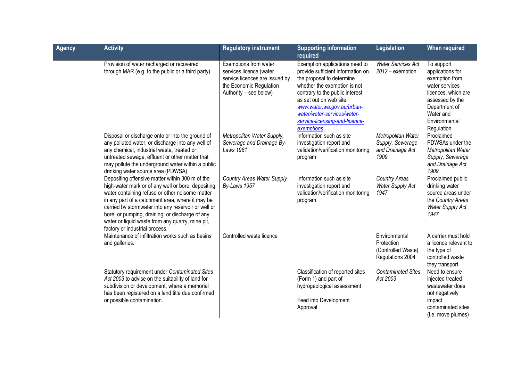| <b>Agency</b> | <b>Activity</b>                                                                                                                                                                                                                                                                                                                                                                                              | <b>Regulatory instrument</b>                                                                                                            | <b>Supporting information</b><br>required                                                                                                                                                                                                                                                                    | Legislation                                                           | <b>When required</b>                                                                                                                                                      |
|---------------|--------------------------------------------------------------------------------------------------------------------------------------------------------------------------------------------------------------------------------------------------------------------------------------------------------------------------------------------------------------------------------------------------------------|-----------------------------------------------------------------------------------------------------------------------------------------|--------------------------------------------------------------------------------------------------------------------------------------------------------------------------------------------------------------------------------------------------------------------------------------------------------------|-----------------------------------------------------------------------|---------------------------------------------------------------------------------------------------------------------------------------------------------------------------|
|               | Provision of water recharged or recovered<br>through MAR (e.g. to the public or a third party).                                                                                                                                                                                                                                                                                                              | Exemptions from water<br>services licence (water<br>service licences are issued by<br>the Economic Regulation<br>Authority - see below) | Exemption applications need to<br>provide sufficient information on<br>the proposal to determine<br>whether the exemption is not<br>contrary to the public interest,<br>as set out on web site:<br>www.water.wa.gov.au/urban-<br>water/water-services/water-<br>service-licensing-and-licence-<br>exemptions | <b>Water Services Act</b><br>2012 - exemption                         | To support<br>applications for<br>exemption from<br>water services<br>licences, which are<br>assessed by the<br>Department of<br>Water and<br>Environmental<br>Regulation |
|               | Disposal or discharge onto or into the ground of<br>any polluted water, or discharge into any well of<br>any chemical, industrial waste, treated or<br>untreated sewage, effluent or other matter that<br>may pollute the underground water within a public<br>drinking water source area (PDWSA).                                                                                                           | Metropolitan Water Supply,<br>Sewerage and Drainage By-<br>Laws 1981                                                                    | Information such as site<br>investigation report and<br>validation/verification monitoring<br>program                                                                                                                                                                                                        | Metropolitan Water<br>Supply, Sewerage<br>and Drainage Act<br>1909    | Proclaimed<br>PDWSAs under the<br>Metropolitan Water<br>Supply, Sewerage<br>and Drainage Act<br>1909                                                                      |
|               | Depositing offensive matter within 300 m of the<br>high-water mark or of any well or bore; depositing<br>water containing refuse or other noisome matter<br>in any part of a catchment area, where it may be<br>carried by stormwater into any reservoir or well or<br>bore, or pumping, draining; or discharge of any<br>water or liquid waste from any quarry, mine pit,<br>factory or industrial process. | <b>Country Areas Water Supply</b><br>By-Laws 1957                                                                                       | Information such as site<br>investigation report and<br>validation/verification monitoring<br>program                                                                                                                                                                                                        | <b>Country Areas</b><br><b>Water Supply Act</b><br>1947               | Proclaimed public<br>drinking water<br>source areas under<br>the Country Areas<br><b>Water Supply Act</b><br>1947                                                         |
|               | Maintenance of infiltration works such as basins<br>and galleries.                                                                                                                                                                                                                                                                                                                                           | Controlled waste licence                                                                                                                |                                                                                                                                                                                                                                                                                                              | Environmental<br>Protection<br>(Controlled Waste)<br>Regulations 2004 | A carrier must hold<br>a licence relevant to<br>the type of<br>controlled waste<br>they transport                                                                         |
|               | Statutory requirement under Contaminated Sites<br>Act 2003 to advise on the suitability of land for<br>subdivision or development, where a memorial<br>has been registered on a land title due confirmed<br>or possible contamination.                                                                                                                                                                       |                                                                                                                                         | Classification of reported sites<br>(Form 1) and part of<br>hydrogeological assessment<br>Feed into Development<br>Approval                                                                                                                                                                                  | <b>Contaminated Sites</b><br>Act 2003                                 | Need to ensure<br>injected treated<br>wastewater does<br>not negatively<br>impact<br>contaminated sites<br>(i.e. move plumes)                                             |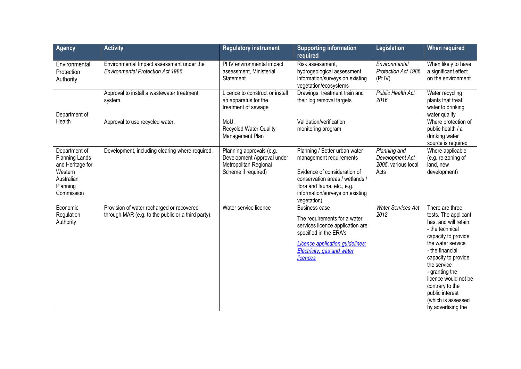| <b>Agency</b>                                                                                          | <b>Activity</b>                                                                                 | <b>Regulatory instrument</b>                                                                           | <b>Supporting information</b><br>required                                                                                                                                                                    | Legislation                                                    | When required                                                                                                                                                                                                                                                                                                        |
|--------------------------------------------------------------------------------------------------------|-------------------------------------------------------------------------------------------------|--------------------------------------------------------------------------------------------------------|--------------------------------------------------------------------------------------------------------------------------------------------------------------------------------------------------------------|----------------------------------------------------------------|----------------------------------------------------------------------------------------------------------------------------------------------------------------------------------------------------------------------------------------------------------------------------------------------------------------------|
| Environmental<br>Protection<br>Authority                                                               | Environmental Impact assessment under the<br><b>Environmental Protection Act 1986.</b>          | Pt IV environmental impact<br>assessment, Ministerial<br>Statement                                     | Risk assessment,<br>hydrogeological assessment,<br>information/surveys on existing<br>vegetation/ecosystems                                                                                                  | Environmental<br>Protection Act 1986<br>(Pt IV)                | When likely to have<br>a significant effect<br>on the environment                                                                                                                                                                                                                                                    |
| Department of                                                                                          | Approval to install a wastewater treatment<br>system.                                           | Licence to construct or install<br>an apparatus for the<br>treatment of sewage                         | Drawings, treatment train and<br>their log removal targets                                                                                                                                                   | <b>Public Health Act</b><br>2016                               | Water recycling<br>plants that treat<br>water to drinking<br>water quality                                                                                                                                                                                                                                           |
| Health                                                                                                 | Approval to use recycled water.                                                                 | MoU,<br>Recycled Water Quality<br>Management Plan                                                      | Validation/verification<br>monitoring program                                                                                                                                                                |                                                                | Where protection of<br>public health / a<br>drinking water<br>source is required                                                                                                                                                                                                                                     |
| Department of<br>Planning Lands<br>and Heritage for<br>Western<br>Australian<br>Planning<br>Commission | Development, including clearing where required.                                                 | Planning approvals (e.g.<br>Development Approval under<br>Metropolitan Regional<br>Scheme if required) | Planning / Better urban water<br>management requirements<br>Evidence of consideration of<br>conservation areas / wetlands /<br>flora and fauna, etc., e.g.<br>information/surveys on existing<br>vegetation) | Planning and<br>Development Act<br>2005, various local<br>Acts | Where applicable<br>(e.g. re-zoning of<br>land, new<br>development)                                                                                                                                                                                                                                                  |
| Economic<br>Regulation<br>Authority                                                                    | Provision of water recharged or recovered<br>through MAR (e.g. to the public or a third party). | Water service licence                                                                                  | <b>Business case</b><br>The requirements for a water<br>services licence application are<br>specified in the ERA's<br>Licence application guidelines:<br>Electricity, gas and water<br>licences              | <b>Water Services Act</b><br>2012                              | There are three<br>tests. The applicant<br>has, and will retain:<br>- the technical<br>capacity to provide<br>the water service<br>- the financial<br>capacity to provide<br>the service<br>- granting the<br>licence would not be<br>contrary to the<br>public interest<br>(which is assessed<br>by advertising the |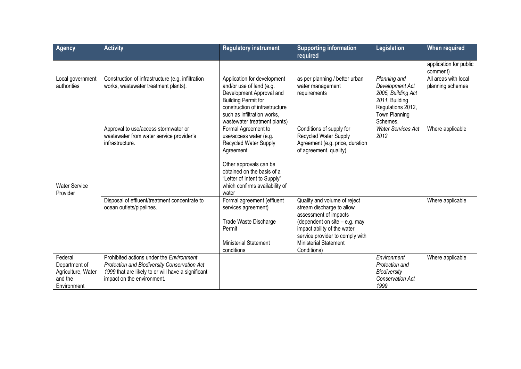| <b>Agency</b>                                                            | <b>Activity</b>                                                                                                                                                              | <b>Regulatory instrument</b>                                                                                                                                                                                           | <b>Supporting information</b><br>required                                                                                                                                                                                              | <b>Legislation</b>                                                                                                               | <b>When required</b>                     |
|--------------------------------------------------------------------------|------------------------------------------------------------------------------------------------------------------------------------------------------------------------------|------------------------------------------------------------------------------------------------------------------------------------------------------------------------------------------------------------------------|----------------------------------------------------------------------------------------------------------------------------------------------------------------------------------------------------------------------------------------|----------------------------------------------------------------------------------------------------------------------------------|------------------------------------------|
|                                                                          |                                                                                                                                                                              |                                                                                                                                                                                                                        |                                                                                                                                                                                                                                        |                                                                                                                                  | application for public<br>comment)       |
| Local government<br>authorities                                          | Construction of infrastructure (e.g. infiltration<br>works, wastewater treatment plants).                                                                                    | Application for development<br>and/or use of land (e.g.<br>Development Approval and<br><b>Building Permit for</b><br>construction of infrastructure<br>such as infiltration works,<br>wastewater treatment plants)     | as per planning / better urban<br>water management<br>requirements                                                                                                                                                                     | Planning and<br>Development Act<br>2005, Building Act<br>2011, Building<br>Regulations 2012,<br><b>Town Planning</b><br>Schemes. | All areas with local<br>planning schemes |
| <b>Water Service</b><br>Provider                                         | Approval to use/access stormwater or<br>wastewater from water service provider's<br>infrastructure.                                                                          | Formal Agreement to<br>use/access water (e.g.<br>Recycled Water Supply<br>Agreement<br>Other approvals can be<br>obtained on the basis of a<br>"Letter of Intent to Supply"<br>which confirms availability of<br>water | Conditions of supply for<br>Recycled Water Supply<br>Agreement (e.g. price, duration<br>of agreement, quality)                                                                                                                         | <b>Water Services Act</b><br>2012                                                                                                | Where applicable                         |
|                                                                          | Disposal of effluent/treatment concentrate to<br>ocean outlets/pipelines.                                                                                                    | Formal agreement (effluent<br>services agreement)<br>Trade Waste Discharge<br>Permit<br><b>Ministerial Statement</b><br>conditions                                                                                     | Quality and volume of reject<br>stream discharge to allow<br>assessment of impacts<br>(dependent on site $-$ e.g. may<br>impact ability of the water<br>service provider to comply with<br><b>Ministerial Statement</b><br>Conditions) |                                                                                                                                  | Where applicable                         |
| Federal<br>Department of<br>Agriculture, Water<br>and the<br>Environment | Prohibited actions under the Environment<br>Protection and Biodiversity Conservation Act<br>1999 that are likely to or will have a significant<br>impact on the environment. |                                                                                                                                                                                                                        |                                                                                                                                                                                                                                        | Environment<br>Protection and<br>Biodiversity<br>Conservation Act<br>1999                                                        | Where applicable                         |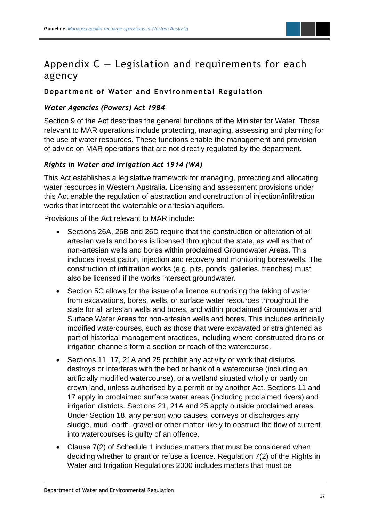### <span id="page-39-0"></span>Appendix  $C -$  Legislation and requirements for each agency

#### **Department of Water and Environmental Regulation**

#### *Water Agencies (Powers) Act 1984*

Section 9 of the Act describes the general functions of the Minister for Water. Those relevant to MAR operations include protecting, managing, assessing and planning for the use of water resources. These functions enable the management and provision of advice on MAR operations that are not directly regulated by the department.

#### *Rights in Water and Irrigation Act 1914 (WA)*

This Act establishes a legislative framework for managing, protecting and allocating water resources in Western Australia. Licensing and assessment provisions under this Act enable the regulation of abstraction and construction of injection/infiltration works that intercept the watertable or artesian aquifers.

Provisions of the Act relevant to MAR include:

- Sections 26A, 26B and 26D require that the construction or alteration of all artesian wells and bores is licensed throughout the state, as well as that of non-artesian wells and bores within proclaimed Groundwater Areas. This includes investigation, injection and recovery and monitoring bores/wells. The construction of infiltration works (e.g. pits, ponds, galleries, trenches) must also be licensed if the works intersect groundwater.
- Section 5C allows for the issue of a licence authorising the taking of water from excavations, bores, wells, or surface water resources throughout the state for all artesian wells and bores, and within proclaimed Groundwater and Surface Water Areas for non-artesian wells and bores. This includes artificially modified watercourses, such as those that were excavated or straightened as part of historical management practices, including where constructed drains or irrigation channels form a section or reach of the watercourse.
- Sections 11, 17, 21A and 25 prohibit any activity or work that disturbs, destroys or interferes with the bed or bank of a watercourse (including an artificially modified watercourse), or a wetland situated wholly or partly on crown land, unless authorised by a permit or by another Act. Sections 11 and 17 apply in proclaimed surface water areas (including proclaimed rivers) and irrigation districts. Sections 21, 21A and 25 apply outside proclaimed areas. Under Section 18, any person who causes, conveys or discharges any sludge, mud, earth, gravel or other matter likely to obstruct the flow of current into watercourses is guilty of an offence.
- Clause 7(2) of Schedule 1 includes matters that must be considered when deciding whether to grant or refuse a licence. Regulation 7(2) of the Rights in Water and Irrigation Regulations 2000 includes matters that must be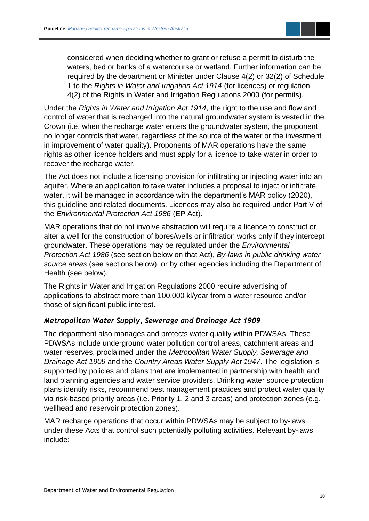considered when deciding whether to grant or refuse a permit to disturb the waters, bed or banks of a watercourse or wetland. Further information can be required by the department or Minister under Clause 4(2) or 32(2) of Schedule 1 to the *Rights in Water and Irrigation Act 1914* (for licences) or regulation 4(2) of the Rights in Water and Irrigation Regulations 2000 (for permits).

Under the *Rights in Water and Irrigation Act 1914*, the right to the use and flow and control of water that is recharged into the natural groundwater system is vested in the Crown (i.e. when the recharge water enters the groundwater system, the proponent no longer controls that water, regardless of the source of the water or the investment in improvement of water quality). Proponents of MAR operations have the same rights as other licence holders and must apply for a licence to take water in order to recover the recharge water.

The Act does not include a licensing provision for infiltrating or injecting water into an aquifer. Where an application to take water includes a proposal to inject or infiltrate water, it will be managed in accordance with the department's MAR policy (2020), this guideline and related documents. Licences may also be required under Part V of the *Environmental Protection Act 1986* (EP Act).

MAR operations that do not involve abstraction will require a licence to construct or alter a well for the construction of bores/wells or infiltration works only if they intercept groundwater. These operations may be regulated under the *Environmental Protection Act 1986* (see section below on that Act), *By-laws in public drinking water source areas* (see sections below), or by other agencies including the Department of Health (see below).

The Rights in Water and Irrigation Regulations 2000 require advertising of applications to abstract more than 100,000 kl/year from a water resource and/or those of significant public interest.

#### *Metropolitan Water Supply, Sewerage and Drainage Act 1909*

The department also manages and protects water quality within PDWSAs. These PDWSAs include underground water pollution control areas, catchment areas and water reserves, proclaimed under the *Metropolitan Water Supply, Sewerage and Drainage Act 1909* and the *Country Areas Water Supply Act 1947*. The legislation is supported by policies and plans that are implemented in partnership with health and land planning agencies and water service providers. Drinking water source protection plans identify risks, recommend best management practices and protect water quality via risk-based priority areas (i.e. Priority 1, 2 and 3 areas) and protection zones (e.g. wellhead and reservoir protection zones).

MAR recharge operations that occur within PDWSAs may be subject to by-laws under these Acts that control such potentially polluting activities. Relevant by-laws include: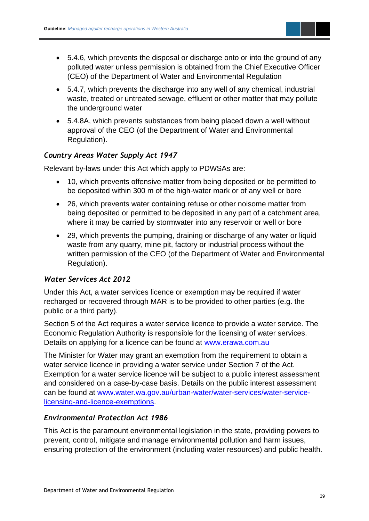

- 5.4.7, which prevents the discharge into any well of any chemical, industrial waste, treated or untreated sewage, effluent or other matter that may pollute the underground water
- 5.4.8A, which prevents substances from being placed down a well without approval of the CEO (of the Department of Water and Environmental Regulation).

#### *Country Areas Water Supply Act 1947*

Relevant by-laws under this Act which apply to PDWSAs are:

- 10, which prevents offensive matter from being deposited or be permitted to be deposited within 300 m of the high-water mark or of any well or bore
- 26, which prevents water containing refuse or other noisome matter from being deposited or permitted to be deposited in any part of a catchment area, where it may be carried by stormwater into any reservoir or well or bore
- 29, which prevents the pumping, draining or discharge of any water or liquid waste from any quarry, mine pit, factory or industrial process without the written permission of the CEO (of the Department of Water and Environmental Regulation).

#### *Water Services Act 2012*

Under this Act, a water services licence or exemption may be required if water recharged or recovered through MAR is to be provided to other parties (e.g. the public or a third party).

Section 5 of the Act requires a water service licence to provide a water service. The Economic Regulation Authority is responsible for the licensing of water services. Details on applying for a licence can be found at<www.erawa.com.au>

The Minister for Water may grant an exemption from the requirement to obtain a water service licence in providing a water service under Section 7 of the Act. Exemption for a water service licence will be subject to a public interest assessment and considered on a case-by-case basis. Details on the public interest assessment can be found at [www.water.wa.gov.au/urban-water/water-services/water-service](www.water.wa.gov.au/urban-water/water-services/water-service-licensing-and-licence-exemptions)[licensing-and-licence-exemptions.](www.water.wa.gov.au/urban-water/water-services/water-service-licensing-and-licence-exemptions)

#### *Environmental Protection Act 1986*

This Act is the paramount environmental legislation in the state, providing powers to prevent, control, mitigate and manage environmental pollution and harm issues, ensuring protection of the environment (including water resources) and public health.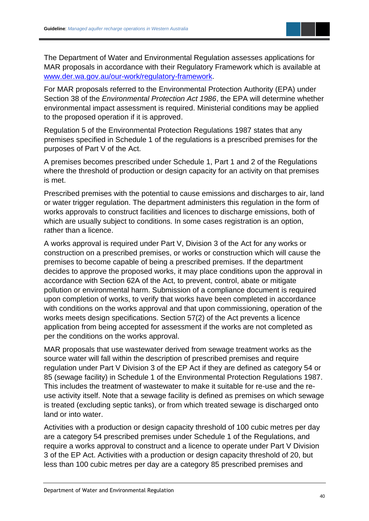

The Department of Water and Environmental Regulation assesses applications for MAR proposals in accordance with their Regulatory Framework which is available at [www.der.wa.gov.au/our-work/regulatory-framework.](www.der.wa.gov.au/our-work/regulatory-framework)

For MAR proposals referred to the Environmental Protection Authority (EPA) under Section 38 of the *Environmental Protection Act 1986*, the EPA will determine whether environmental impact assessment is required. Ministerial conditions may be applied to the proposed operation if it is approved.

Regulation 5 of the Environmental Protection Regulations 1987 states that any premises specified in Schedule 1 of the regulations is a prescribed premises for the purposes of Part V of the Act.

A premises becomes prescribed under Schedule 1, Part 1 and 2 of the Regulations where the threshold of production or design capacity for an activity on that premises is met.

Prescribed premises with the potential to cause emissions and discharges to air, land or water trigger regulation. The department administers this regulation in the form of works approvals to construct facilities and licences to discharge emissions, both of which are usually subject to conditions. In some cases registration is an option, rather than a licence.

A works approval is required under Part V, Division 3 of the Act for any works or construction on a prescribed premises, or works or construction which will cause the premises to become capable of being a prescribed premises. If the department decides to approve the proposed works, it may place conditions upon the approval in accordance with Section 62A of the Act, to prevent, control, abate or mitigate pollution or environmental harm. Submission of a compliance document is required upon completion of works, to verify that works have been completed in accordance with conditions on the works approval and that upon commissioning, operation of the works meets design specifications. Section 57(2) of the Act prevents a licence application from being accepted for assessment if the works are not completed as per the conditions on the works approval.

MAR proposals that use wastewater derived from sewage treatment works as the source water will fall within the description of prescribed premises and require regulation under Part V Division 3 of the EP Act if they are defined as category 54 or 85 (sewage facility) in Schedule 1 of the Environmental Protection Regulations 1987. This includes the treatment of wastewater to make it suitable for re-use and the reuse activity itself. Note that a sewage facility is defined as premises on which sewage is treated (excluding septic tanks), or from which treated sewage is discharged onto land or into water.

Activities with a production or design capacity threshold of 100 cubic metres per day are a category 54 prescribed premises under Schedule 1 of the Regulations, and require a works approval to construct and a licence to operate under Part V Division 3 of the EP Act. Activities with a production or design capacity threshold of 20, but less than 100 cubic metres per day are a category 85 prescribed premises and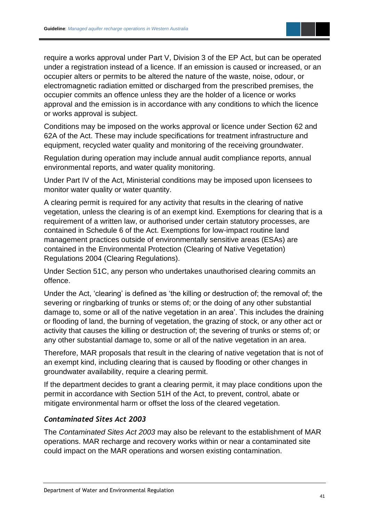require a works approval under Part V, Division 3 of the EP Act, but can be operated under a registration instead of a licence. If an emission is caused or increased, or an occupier alters or permits to be altered the nature of the waste, noise, odour, or electromagnetic radiation emitted or discharged from the prescribed premises, the occupier commits an offence unless they are the holder of a licence or works approval and the emission is in accordance with any conditions to which the licence or works approval is subject.

Conditions may be imposed on the works approval or licence under Section 62 and 62A of the Act. These may include specifications for treatment infrastructure and equipment, recycled water quality and monitoring of the receiving groundwater.

Regulation during operation may include annual audit compliance reports, annual environmental reports, and water quality monitoring.

Under Part IV of the Act, Ministerial conditions may be imposed upon licensees to monitor water quality or water quantity.

A clearing permit is required for any activity that results in the clearing of native vegetation, unless the clearing is of an exempt kind. Exemptions for clearing that is a requirement of a written law, or authorised under certain statutory processes, are contained in Schedule 6 of the Act. Exemptions for low-impact routine land management practices outside of environmentally sensitive areas (ESAs) are contained in the Environmental Protection (Clearing of Native Vegetation) Regulations 2004 (Clearing Regulations).

Under Section 51C, any person who undertakes unauthorised clearing commits an offence.

Under the Act, 'clearing' is defined as 'the killing or destruction of; the removal of; the severing or ringbarking of trunks or stems of; or the doing of any other substantial damage to, some or all of the native vegetation in an area'. This includes the draining or flooding of land, the burning of vegetation, the grazing of stock, or any other act or activity that causes the killing or destruction of; the severing of trunks or stems of; or any other substantial damage to, some or all of the native vegetation in an area.

Therefore, MAR proposals that result in the clearing of native vegetation that is not of an exempt kind, including clearing that is caused by flooding or other changes in groundwater availability, require a clearing permit.

If the department decides to grant a clearing permit, it may place conditions upon the permit in accordance with Section 51H of the Act, to prevent, control, abate or mitigate environmental harm or offset the loss of the cleared vegetation.

#### *Contaminated Sites Act 2003*

The *Contaminated Sites Act 2003* may also be relevant to the establishment of MAR operations. MAR recharge and recovery works within or near a contaminated site could impact on the MAR operations and worsen existing contamination.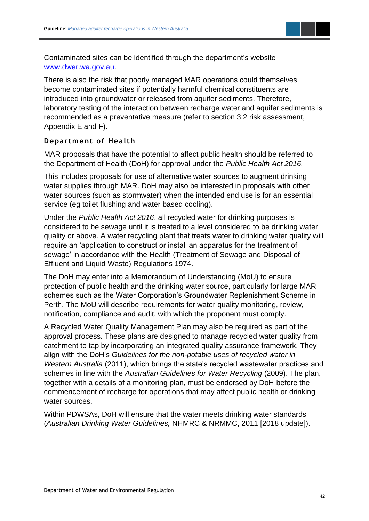

Contaminated sites can be identified through the department's website [www.dwer.wa.gov.au.](www.dwer.wa.gov.au)

There is also the risk that poorly managed MAR operations could themselves become contaminated sites if potentially harmful chemical constituents are introduced into groundwater or released from aquifer sediments. Therefore, laboratory testing of the interaction between recharge water and aquifer sediments is recommended as a preventative measure (refer to section 3.2 risk assessment, Appendix E and F).

#### **Department of Health**

MAR proposals that have the potential to affect public health should be referred to the Department of Health (DoH) for approval under the *Public Health Act 2016.*

This includes proposals for use of alternative water sources to augment drinking water supplies through MAR. DoH may also be interested in proposals with other water sources (such as stormwater) when the intended end use is for an essential service (eg toilet flushing and water based cooling).

Under the *Public Health Act 2016*, all recycled water for drinking purposes is considered to be sewage until it is treated to a level considered to be drinking water quality or above. A water recycling plant that treats water to drinking water quality will require an 'application to construct or install an apparatus for the treatment of sewage' in accordance with the Health (Treatment of Sewage and Disposal of Effluent and Liquid Waste) Regulations 1974.

The DoH may enter into a Memorandum of Understanding (MoU) to ensure protection of public health and the drinking water source, particularly for large MAR schemes such as the Water Corporation's Groundwater Replenishment Scheme in Perth. The MoU will describe requirements for water quality monitoring, review, notification, compliance and audit, with which the proponent must comply.

A Recycled Water Quality Management Plan may also be required as part of the approval process. These plans are designed to manage recycled water quality from catchment to tap by incorporating an integrated quality assurance framework. They align with the DoH's *Guidelines for the non-potable uses of recycled water in Western Australia* (2011), which brings the state's recycled wastewater practices and schemes in line with the *Australian Guidelines for Water Recycling* (2009). The plan, together with a details of a monitoring plan, must be endorsed by DoH before the commencement of recharge for operations that may affect public health or drinking water sources.

Within PDWSAs, DoH will ensure that the water meets drinking water standards (*Australian Drinking Water Guidelines,* NHMRC & NRMMC, 2011 [2018 update]).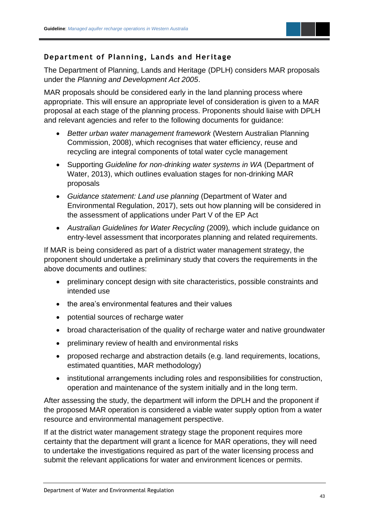

#### **Department of Planning, Lands and Heritage**

The Department of Planning, Lands and Heritage (DPLH) considers MAR proposals under the *Planning and Development Act 2005*.

MAR proposals should be considered early in the land planning process where appropriate. This will ensure an appropriate level of consideration is given to a MAR proposal at each stage of the planning process. Proponents should liaise with DPLH and relevant agencies and refer to the following documents for guidance:

- *Better urban water management framework* (Western Australian Planning Commission, 2008), which recognises that water efficiency, reuse and recycling are integral components of total water cycle management
- Supporting *Guideline for non-drinking water systems in WA* (Department of Water, 2013), which outlines evaluation stages for non-drinking MAR proposals
- *Guidance statement: Land use planning* (Department of Water and Environmental Regulation, 2017), sets out how planning will be considered in the assessment of applications under Part V of the EP Act
- *Australian Guidelines for Water Recycling* (2009)*,* which include guidance on entry-level assessment that incorporates planning and related requirements.

If MAR is being considered as part of a district water management strategy, the proponent should undertake a preliminary study that covers the requirements in the above documents and outlines:

- preliminary concept design with site characteristics, possible constraints and intended use
- the area's environmental features and their values
- potential sources of recharge water
- broad characterisation of the quality of recharge water and native groundwater
- preliminary review of health and environmental risks
- proposed recharge and abstraction details (e.g. land requirements, locations, estimated quantities, MAR methodology)
- institutional arrangements including roles and responsibilities for construction, operation and maintenance of the system initially and in the long term.

After assessing the study, the department will inform the DPLH and the proponent if the proposed MAR operation is considered a viable water supply option from a water resource and environmental management perspective.

If at the district water management strategy stage the proponent requires more certainty that the department will grant a licence for MAR operations, they will need to undertake the investigations required as part of the water licensing process and submit the relevant applications for water and environment licences or permits.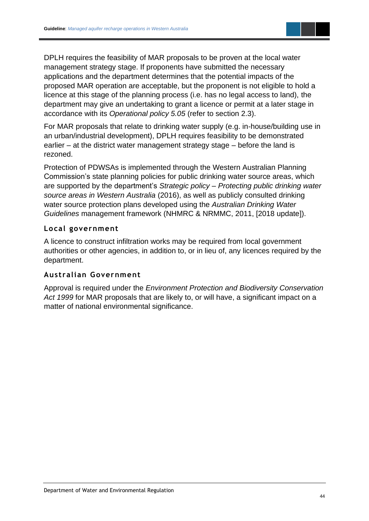DPLH requires the feasibility of MAR proposals to be proven at the local water management strategy stage. If proponents have submitted the necessary applications and the department determines that the potential impacts of the proposed MAR operation are acceptable, but the proponent is not eligible to hold a licence at this stage of the planning process (i.e. has no legal access to land), the department may give an undertaking to grant a licence or permit at a later stage in accordance with its *Operational policy 5.05* (refer to section 2.3).

For MAR proposals that relate to drinking water supply (e.g. in-house/building use in an urban/industrial development), DPLH requires feasibility to be demonstrated earlier – at the district water management strategy stage – before the land is rezoned.

Protection of PDWSAs is implemented through the Western Australian Planning Commission's state planning policies for public drinking water source areas, which are supported by the department's *Strategic policy – Protecting public drinking water source areas in Western Australia* (2016), as well as publicly consulted drinking water source protection plans developed using the *Australian Drinking Water Guidelines* management framework (NHMRC & NRMMC, 2011, [2018 update]).

#### **Local government**

A licence to construct infiltration works may be required from local government authorities or other agencies, in addition to, or in lieu of, any licences required by the department.

#### **Australian Government**

Approval is required under the *Environment Protection and Biodiversity Conservation Act 1999* for MAR proposals that are likely to, or will have, a significant impact on a matter of national environmental significance.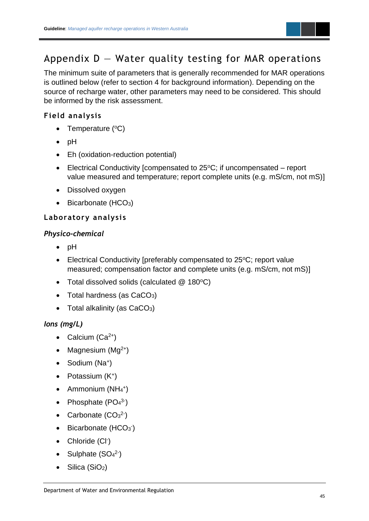

### <span id="page-47-0"></span>Appendix  $D - W$ ater quality testing for MAR operations

The minimum suite of parameters that is generally recommended for MAR operations is outlined below (refer to section 4 for background information). Depending on the source of recharge water, other parameters may need to be considered. This should be informed by the risk assessment.

#### **Field analysis**

- Temperature  $(^{\circ}C)$
- pH
- Eh (oxidation-reduction potential)
- Electrical Conductivity [compensated to  $25^{\circ}$ C; if uncompensated report value measured and temperature; report complete units (e.g. mS/cm, not mS)]
- Dissolved oxygen
- Bicarbonate (HCO<sub>3</sub>)

#### **Laboratory analysi s**

#### *Physico-chemical*

- pH
- Electrical Conductivity [preferably compensated to  $25^{\circ}$ C; report value measured; compensation factor and complete units (e.g. mS/cm, not mS)]
- Total dissolved solids (calculated  $@$  180 $°C$ )
- Total hardness (as  $CaCO<sub>3</sub>$ )
- Total alkalinity (as  $CaCO<sub>3</sub>$ )

#### *Ions (mg/L)*

- Calcium  $(Ca^{2+})$
- Magnesium  $(Mg^{2+})$
- Sodium (Na<sup>+</sup>)
- Potassium (K<sup>+</sup>)
- $\bullet$  Ammonium (NH<sub>4</sub><sup>+</sup>)
- Phosphate  $(PO<sub>4</sub><sup>3</sup>)$
- Carbonate  $(CO<sub>3</sub><sup>2</sup>)$
- $\bullet$  Bicarbonate (HCO<sub>3</sub>)
- Chloride (CI<sup>-</sup>)
- Sulphate  $(SO<sub>4</sub><sup>2</sup>)$
- Silica (SiO<sub>2</sub>)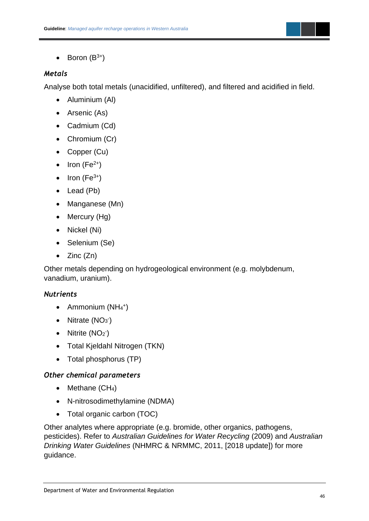

• Boron  $(B^{3+})$ 

#### *Metals*

Analyse both total metals (unacidified, unfiltered), and filtered and acidified in field.

- Aluminium (Al)
- Arsenic (As)
- Cadmium (Cd)
- Chromium (Cr)
- Copper (Cu)
- Iron ( $Fe<sup>2+</sup>$ )
- Iron  $(Fe^{3+})$
- Lead (Pb)
- Manganese (Mn)
- Mercury (Hg)
- Nickel (Ni)
- Selenium (Se)
- Zinc (Zn)

Other metals depending on hydrogeological environment (e.g. molybdenum, vanadium, uranium).

#### *Nutrients*

- $\bullet$  Ammonium (NH<sub>4</sub><sup>+</sup>)
- Nitrate  $(NO<sub>3</sub>)$
- Nitrite  $(NO<sub>2</sub>)$
- Total Kjeldahl Nitrogen (TKN)
- Total phosphorus (TP)

#### *Other chemical parameters*

- Methane  $(CH_4)$
- N-nitrosodimethylamine (NDMA)
- Total organic carbon (TOC)

Other analytes where appropriate (e.g. bromide, other organics, pathogens, pesticides). Refer to *Australian Guidelines for Water Recycling* (2009) and *Australian Drinking Water Guidelines* (NHMRC & NRMMC, 2011, [2018 update]) for more guidance.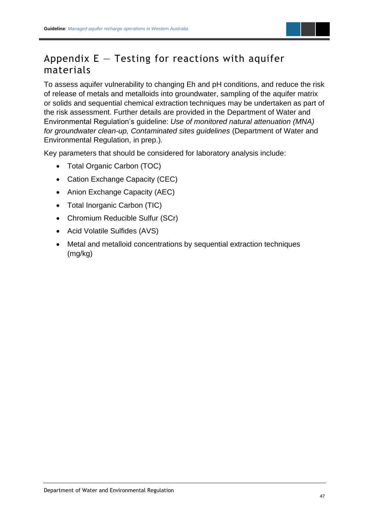

### <span id="page-49-0"></span>Appendix  $E -$  Testing for reactions with aquifer materials

To assess aquifer vulnerability to changing Eh and pH conditions, and reduce the risk of release of metals and metalloids into groundwater, sampling of the aquifer matrix or solids and sequential chemical extraction techniques may be undertaken as part of the risk assessment. Further details are provided in the Department of Water and Environmental Regulation's guideline: *Use of monitored natural attenuation (MNA) for groundwater clean-up, Contaminated sites guidelines* (Department of Water and Environmental Regulation, in prep.)*.*

Key parameters that should be considered for laboratory analysis include:

- Total Organic Carbon (TOC)
- Cation Exchange Capacity (CEC)
- Anion Exchange Capacity (AEC)
- Total Inorganic Carbon (TIC)
- Chromium Reducible Sulfur (SCr)
- Acid Volatile Sulfides (AVS)
- Metal and metalloid concentrations by sequential extraction techniques (mg/kg)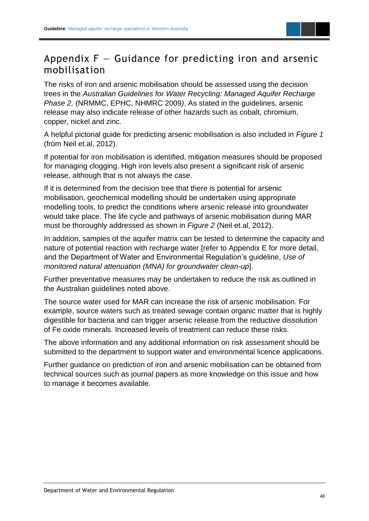### <span id="page-50-0"></span>Appendix  $F -$  Guidance for predicting iron and arsenic mobilisation

The risks of iron and arsenic mobilisation should be assessed using the decision trees in the *Australian Guidelines for Water Recycling: Managed Aquifer Recharge Phase 2,* (NRMMC, EPHC, NHMRC 2009*)*. As stated in the guidelines, arsenic release may also indicate release of other hazards such as cobalt, chromium, copper, nickel and zinc.

A helpful pictorial guide for predicting arsenic mobilisation is also included in *Figure 1*  (from Neil et.al, 2012).

If potential for iron mobilisation is identified, mitigation measures should be proposed for managing clogging. High iron levels also present a significant risk of arsenic release, although that is not always the case.

If it is determined from the decision tree that there is potential for arsenic mobilisation, geochemical modelling should be undertaken using appropriate modelling tools, to predict the conditions where arsenic release into groundwater would take place. The life cycle and pathways of arsenic mobilisation during MAR must be thoroughly addressed as shown in *Figure 2* (Neil et.al, 2012).

In addition, samples of the aquifer matrix can be tested to determine the capacity and nature of potential reaction with recharge water [refer to Appendix E for more detail, and the Department of Water and Environmental Regulation's guideline, *Use of monitored natural attenuation (MNA) for groundwater clean-up*].

Further preventative measures may be undertaken to reduce the risk as outlined in the Australian guidelines noted above.

The source water used for MAR can increase the risk of arsenic mobilisation. For example, source waters such as treated sewage contain organic matter that is highly digestible for bacteria and can trigger arsenic release from the reductive dissolution of Fe oxide minerals. Increased levels of treatment can reduce these risks.

The above information and any additional information on risk assessment should be submitted to the department to support water and environmental licence applications.

Further guidance on prediction of iron and arsenic mobilisation can be obtained from technical sources such as journal papers as more knowledge on this issue and how to manage it becomes available.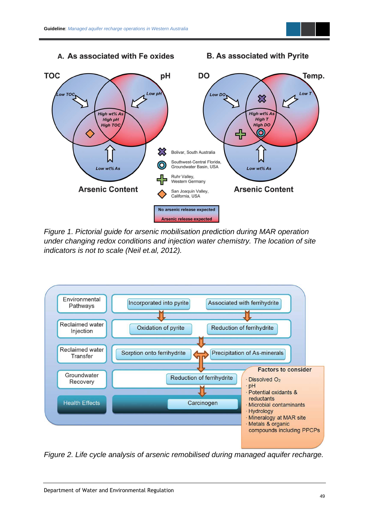#### A. As associated with Fe oxides

**B. As associated with Pyrite** 



*Figure 1. Pictorial guide for arsenic mobilisation prediction during MAR operation under changing redox conditions and injection water chemistry. The location of site indicators is not to scale (Neil et.al, 2012).*



*Figure 2. Life cycle analysis of arsenic remobilised during managed aquifer recharge.*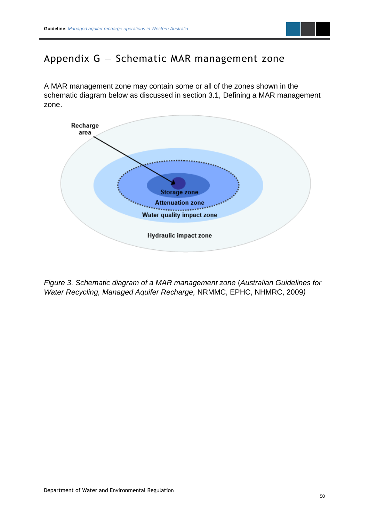

### <span id="page-52-0"></span>Appendix G — Schematic MAR management zone

A MAR management zone may contain some or all of the zones shown in the schematic diagram below as discussed in section 3.1, Defining a MAR management zone.



*Figure 3. Schematic diagram of a MAR management zone* (*Australian Guidelines for Water Recycling, Managed Aquifer Recharge,* NRMMC, EPHC, NHMRC, 2009*)*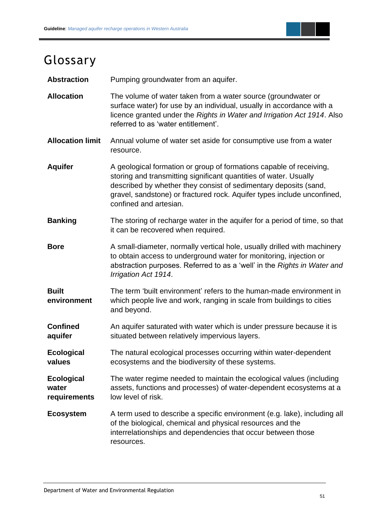

## <span id="page-53-0"></span>Glossary

Abstraction Pumping groundwater from an aquifer.

**Allocation** The volume of water taken from a water source (groundwater or surface water) for use by an individual, usually in accordance with a licence granted under the *Rights in Water and Irrigation Act 1914*. Also referred to as 'water entitlement'.

**Allocation limit** Annual volume of water set aside for consumptive use from a water resource.

**Aquifer** A geological formation or group of formations capable of receiving, storing and transmitting significant quantities of water. Usually described by whether they consist of sedimentary deposits (sand, gravel, sandstone) or fractured rock. Aquifer types include unconfined, confined and artesian.

**Banking** The storing of recharge water in the aquifer for a period of time, so that it can be recovered when required.

**Bore** A small-diameter, normally vertical hole, usually drilled with machinery to obtain access to underground water for monitoring, injection or abstraction purposes. Referred to as a 'well' in the *Rights in Water and Irrigation Act 1914*.

**Built environment** The term 'built environment' refers to the human-made environment in which people live and work, ranging in scale from buildings to cities and beyond.

**Confined aquifer** An aquifer saturated with water which is under pressure because it is situated between relatively impervious layers.

**Ecological values** The natural ecological processes occurring within water-dependent ecosystems and the biodiversity of these systems.

**Ecological water requirements**  The water regime needed to maintain the ecological values (including assets, functions and processes) of water-dependent ecosystems at a low level of risk.

**Ecosystem** A term used to describe a specific environment (e.g. lake), including all of the biological, chemical and physical resources and the interrelationships and dependencies that occur between those resources.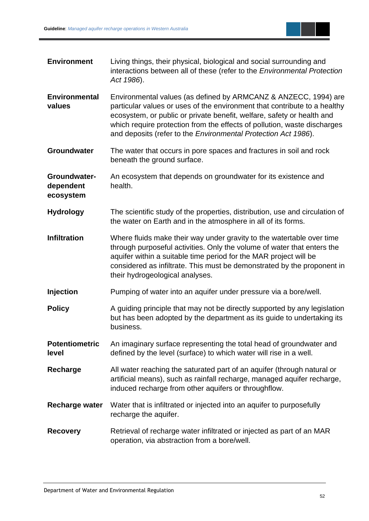

| <b>Environment</b>                     | Living things, their physical, biological and social surrounding and<br>interactions between all of these (refer to the Environmental Protection<br>Act 1986).                                                                                                                                                                                                       |
|----------------------------------------|----------------------------------------------------------------------------------------------------------------------------------------------------------------------------------------------------------------------------------------------------------------------------------------------------------------------------------------------------------------------|
| <b>Environmental</b><br>values         | Environmental values (as defined by ARMCANZ & ANZECC, 1994) are<br>particular values or uses of the environment that contribute to a healthy<br>ecosystem, or public or private benefit, welfare, safety or health and<br>which require protection from the effects of pollution, waste discharges<br>and deposits (refer to the Environmental Protection Act 1986). |
| <b>Groundwater</b>                     | The water that occurs in pore spaces and fractures in soil and rock<br>beneath the ground surface.                                                                                                                                                                                                                                                                   |
| Groundwater-<br>dependent<br>ecosystem | An ecosystem that depends on groundwater for its existence and<br>health.                                                                                                                                                                                                                                                                                            |
| <b>Hydrology</b>                       | The scientific study of the properties, distribution, use and circulation of<br>the water on Earth and in the atmosphere in all of its forms.                                                                                                                                                                                                                        |
| <b>Infiltration</b>                    | Where fluids make their way under gravity to the watertable over time<br>through purposeful activities. Only the volume of water that enters the<br>aquifer within a suitable time period for the MAR project will be<br>considered as infiltrate. This must be demonstrated by the proponent in<br>their hydrogeological analyses.                                  |
| <b>Injection</b>                       | Pumping of water into an aquifer under pressure via a bore/well.                                                                                                                                                                                                                                                                                                     |
| <b>Policy</b>                          | A guiding principle that may not be directly supported by any legislation<br>but has been adopted by the department as its guide to undertaking its<br>business.                                                                                                                                                                                                     |
| <b>Potentiometric</b><br>level         | An imaginary surface representing the total head of groundwater and<br>defined by the level (surface) to which water will rise in a well.                                                                                                                                                                                                                            |
| Recharge                               | All water reaching the saturated part of an aquifer (through natural or<br>artificial means), such as rainfall recharge, managed aquifer recharge,<br>induced recharge from other aquifers or throughflow.                                                                                                                                                           |
| Recharge water                         | Water that is infiltrated or injected into an aquifer to purposefully<br>recharge the aquifer.                                                                                                                                                                                                                                                                       |
| <b>Recovery</b>                        | Retrieval of recharge water infiltrated or injected as part of an MAR<br>operation, via abstraction from a bore/well.                                                                                                                                                                                                                                                |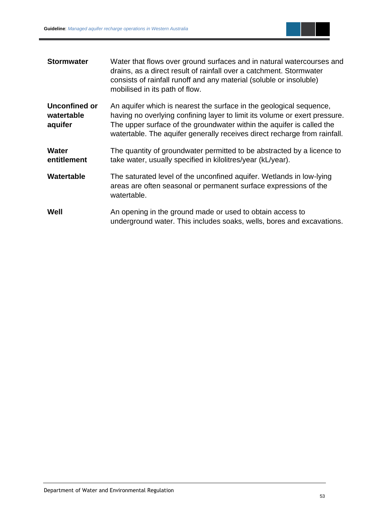

| <b>Stormwater</b>                             | Water that flows over ground surfaces and in natural watercourses and<br>drains, as a direct result of rainfall over a catchment. Stormwater<br>consists of rainfall runoff and any material (soluble or insoluble)<br>mobilised in its path of flow.                                                   |
|-----------------------------------------------|---------------------------------------------------------------------------------------------------------------------------------------------------------------------------------------------------------------------------------------------------------------------------------------------------------|
| <b>Unconfined or</b><br>watertable<br>aquifer | An aquifer which is nearest the surface in the geological sequence,<br>having no overlying confining layer to limit its volume or exert pressure.<br>The upper surface of the groundwater within the aquifer is called the<br>watertable. The aquifer generally receives direct recharge from rainfall. |
| <b>Water</b><br>entitlement                   | The quantity of groundwater permitted to be abstracted by a licence to<br>take water, usually specified in kilolitres/year (kL/year).                                                                                                                                                                   |
| Watertable                                    | The saturated level of the unconfined aquifer. Wetlands in low-lying<br>areas are often seasonal or permanent surface expressions of the<br>watertable.                                                                                                                                                 |
| Well                                          | An opening in the ground made or used to obtain access to<br>underground water. This includes soaks, wells, bores and excavations.                                                                                                                                                                      |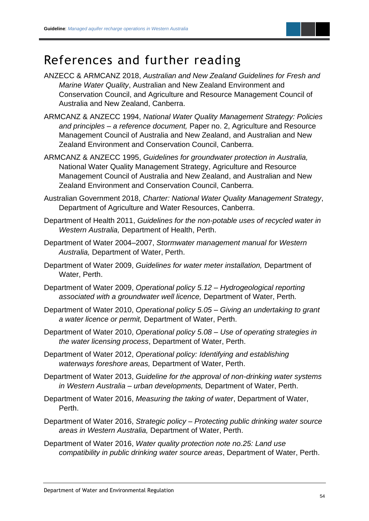### <span id="page-56-0"></span>References and further reading

- ANZECC & ARMCANZ 2018, *Australian and New Zealand Guidelines for Fresh and Marine Water Quality*, Australian and New Zealand Environment and Conservation Council, and Agriculture and Resource Management Council of Australia and New Zealand, Canberra.
- ARMCANZ & ANZECC 1994, *National Water Quality Management Strategy: Policies and principles – a reference document,* Paper no. 2, Agriculture and Resource Management Council of Australia and New Zealand, and Australian and New Zealand Environment and Conservation Council, Canberra.
- ARMCANZ & ANZECC 1995, *Guidelines for groundwater protection in Australia,*  National Water Quality Management Strategy, Agriculture and Resource Management Council of Australia and New Zealand, and Australian and New Zealand Environment and Conservation Council, Canberra.
- Australian Government 2018, *Charter: National Water Quality Management Strategy*, Department of Agriculture and Water Resources, Canberra.
- Department of Health 2011, *Guidelines for the non-potable uses of recycled water in Western Australia,* Department of Health, Perth.
- Department of Water 2004–2007, *Stormwater management manual for Western Australia,* Department of Water, Perth.
- Department of Water 2009, *Guidelines for water meter installation,* Department of Water, Perth.
- Department of Water 2009, *Operational policy 5.12 – Hydrogeological reporting associated with a groundwater well licence,* Department of Water, Perth*.*
- Department of Water 2010, *Operational policy 5.05 – Giving an undertaking to grant a water licence or permit,* Department of Water, Perth.
- Department of Water 2010, *Operational policy 5.08 – Use of operating strategies in the water licensing process*, Department of Water, Perth.
- Department of Water 2012, *Operational policy: Identifying and establishing waterways foreshore areas,* Department of Water, Perth.
- Department of Water 2013, *Guideline for the approval of non-drinking water systems in Western Australia – urban developments,* Department of Water, Perth.
- Department of Water 2016, *Measuring the taking of water*, Department of Water, Perth.
- Department of Water 2016, *Strategic policy – Protecting public drinking water source areas in Western Australia,* Department of Water, Perth.
- Department of Water 2016, *Water quality protection note no.25: Land use compatibility in public drinking water source areas*, Department of Water, Perth.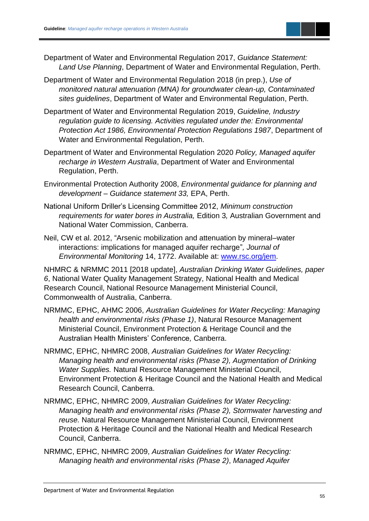

- Department of Water and Environmental Regulation 2017, *Guidance Statement: Land Use Planning*, Department of Water and Environmental Regulation, Perth.
- Department of Water and Environmental Regulation 2018 (in prep.), *Use of monitored natural attenuation (MNA) for groundwater clean-up, Contaminated sites guidelines*, Department of Water and Environmental Regulation, Perth.
- Department of Water and Environmental Regulation 2019, *Guideline, Industry regulation guide to licensing. Activities regulated under the: Environmental Protection Act 1986, Environmental Protection Regulations 1987*, Department of Water and Environmental Regulation, Perth.
- Department of Water and Environmental Regulation 2020 *Policy, Managed aquifer recharge in Western Australia*, Department of Water and Environmental Regulation, Perth.
- Environmental Protection Authority 2008, *Environmental guidance for planning and development – Guidance statement 33,* EPA, Perth.
- National Uniform Driller's Licensing Committee 2012, *Minimum construction requirements for water bores in Australia,* Edition 3*,* Australian Government and National Water Commission, Canberra.
- Neil, CW et al. 2012, "Arsenic mobilization and attenuation by mineral–water interactions: implications for managed aquifer recharge"*, Journal of Environmental Monitoring* 14, 1772. Available at: [www.rsc.org/jem.](http://www.rsc.org/jem)

NHMRC & NRMMC 2011 [2018 update], *Australian Drinking Water Guidelines, paper 6*, National Water Quality Management Strategy, National Health and Medical Research Council, National Resource Management Ministerial Council, Commonwealth of Australia, Canberra.

- NRMMC, EPHC, AHMC 2006, *Australian Guidelines for Water Recycling: Managing health and environmental risks (Phase 1)*, Natural Resource Management Ministerial Council, Environment Protection & Heritage Council and the Australian Health Ministers' Conference*,* Canberra.
- NRMMC, EPHC, NHMRC 2008, *Australian Guidelines for Water Recycling: Managing health and environmental risks (Phase 2), Augmentation of Drinking Water Supplies.* Natural Resource Management Ministerial Council, Environment Protection & Heritage Council and the National Health and Medical Research Council, Canberra.
- NRMMC, EPHC, NHMRC 2009, *Australian Guidelines for Water Recycling: Managing health and environmental risks (Phase 2), Stormwater harvesting and reuse.* Natural Resource Management Ministerial Council, Environment Protection & Heritage Council and the National Health and Medical Research Council, Canberra.
- NRMMC, EPHC, NHMRC 2009, *Australian Guidelines for Water Recycling: Managing health and environmental risks (Phase 2)*, *Managed Aquifer*